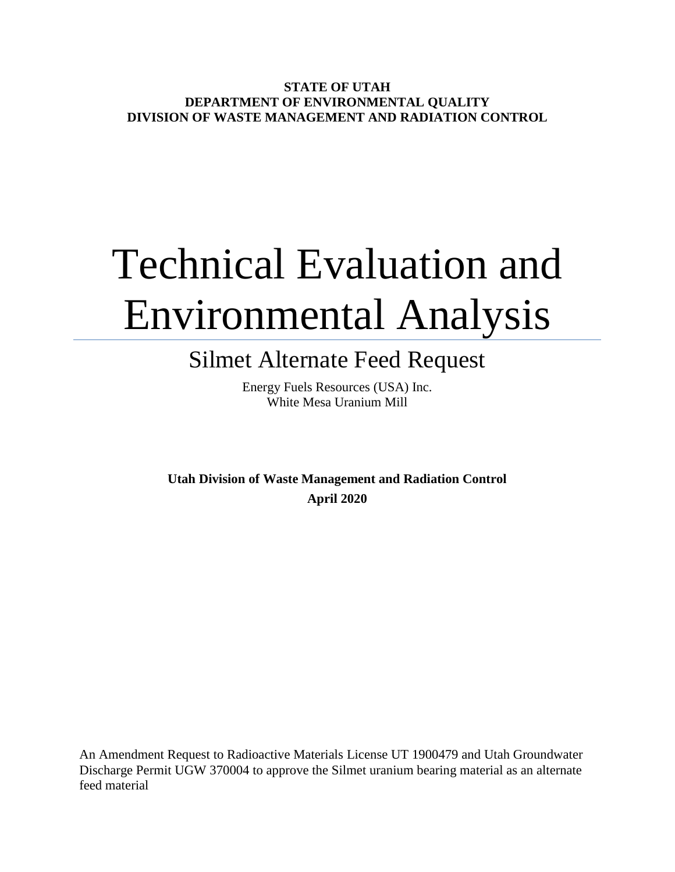**STATE OF UTAH DEPARTMENT OF ENVIRONMENTAL QUALITY DIVISION OF WASTE MANAGEMENT AND RADIATION CONTROL**

# Technical Evaluation and Environmental Analysis

# Silmet Alternate Feed Request

Energy Fuels Resources (USA) Inc. White Mesa Uranium Mill

**Utah Division of Waste Management and Radiation Control April 2020**

An Amendment Request to Radioactive Materials License UT 1900479 and Utah Groundwater Discharge Permit UGW 370004 to approve the Silmet uranium bearing material as an alternate feed material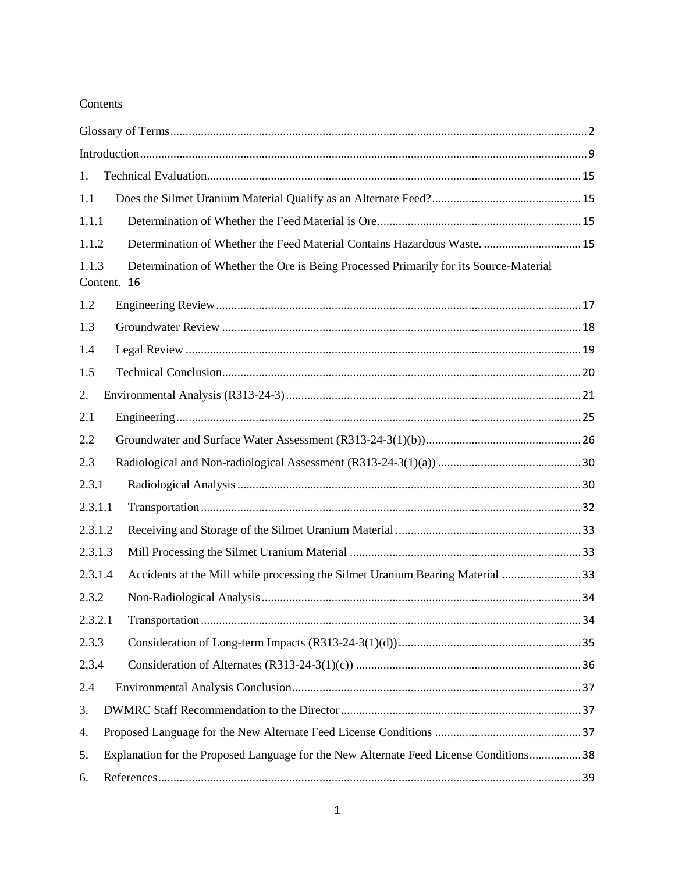#### Contents

| 1.                                                                                           |                                                                                       |  |
|----------------------------------------------------------------------------------------------|---------------------------------------------------------------------------------------|--|
| 1.1                                                                                          |                                                                                       |  |
| 1.1.1                                                                                        |                                                                                       |  |
| 1.1.2                                                                                        | Determination of Whether the Feed Material Contains Hazardous Waste 15                |  |
| 1.1.3<br>Content. 16                                                                         | Determination of Whether the Ore is Being Processed Primarily for its Source-Material |  |
| 1.2                                                                                          |                                                                                       |  |
| 1.3                                                                                          |                                                                                       |  |
| 1.4                                                                                          |                                                                                       |  |
| 1.5                                                                                          |                                                                                       |  |
| 2.                                                                                           |                                                                                       |  |
| 2.1                                                                                          |                                                                                       |  |
| 2.2                                                                                          |                                                                                       |  |
| 2.3                                                                                          |                                                                                       |  |
| 2.3.1                                                                                        |                                                                                       |  |
| 2.3.1.1                                                                                      |                                                                                       |  |
| 2.3.1.2                                                                                      |                                                                                       |  |
| 2.3.1.3                                                                                      |                                                                                       |  |
| 2.3.1.4                                                                                      | Accidents at the Mill while processing the Silmet Uranium Bearing Material 33         |  |
| 2.3.2                                                                                        |                                                                                       |  |
| 2.3.2.1                                                                                      |                                                                                       |  |
| 2.3.3                                                                                        |                                                                                       |  |
| 2.3.4                                                                                        |                                                                                       |  |
| 2.4                                                                                          |                                                                                       |  |
| 3.                                                                                           |                                                                                       |  |
| 4.                                                                                           |                                                                                       |  |
| Explanation for the Proposed Language for the New Alternate Feed License Conditions 38<br>5. |                                                                                       |  |
| 6.                                                                                           |                                                                                       |  |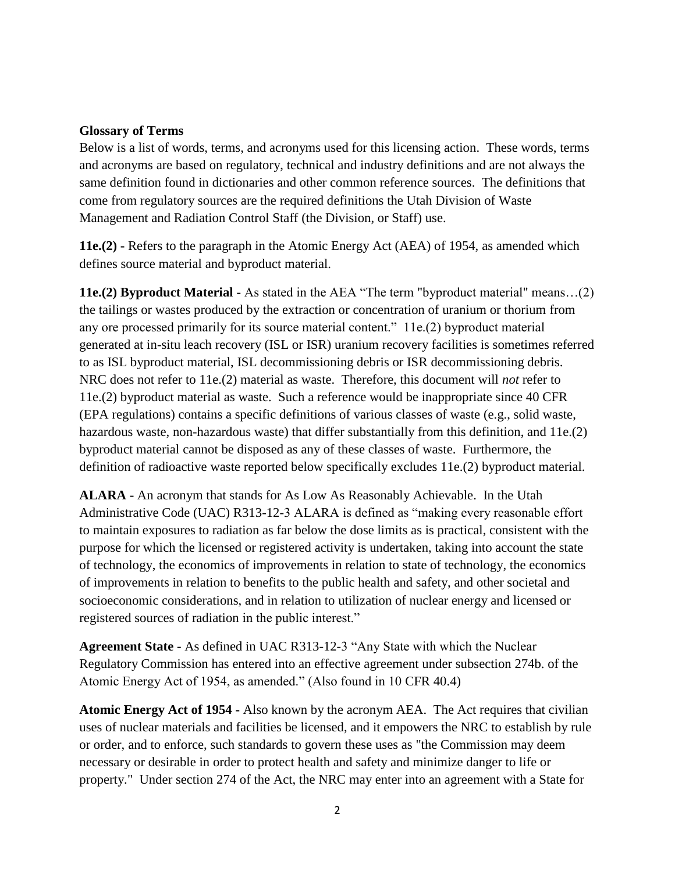#### <span id="page-2-0"></span>**Glossary of Terms**

Below is a list of words, terms, and acronyms used for this licensing action. These words, terms and acronyms are based on regulatory, technical and industry definitions and are not always the same definition found in dictionaries and other common reference sources. The definitions that come from regulatory sources are the required definitions the Utah Division of Waste Management and Radiation Control Staff (the Division, or Staff) use.

**11e.(2) -** Refers to the paragraph in the Atomic Energy Act (AEA) of 1954, as amended which defines source material and byproduct material.

**11e.(2) Byproduct Material -** As stated in the AEA "The term "byproduct material" means…(2) the tailings or wastes produced by the extraction or concentration of uranium or thorium from any ore processed primarily for its source material content." 11e.(2) byproduct material generated at in-situ leach recovery (ISL or ISR) uranium recovery facilities is sometimes referred to as ISL byproduct material, ISL decommissioning debris or ISR decommissioning debris. NRC does not refer to 11e.(2) material as waste. Therefore, this document will *not* refer to 11e.(2) byproduct material as waste. Such a reference would be inappropriate since 40 CFR (EPA regulations) contains a specific definitions of various classes of waste (e.g., solid waste, hazardous waste, non-hazardous waste) that differ substantially from this definition, and 11e.(2) byproduct material cannot be disposed as any of these classes of waste. Furthermore, the definition of radioactive waste reported below specifically excludes 11e.(2) byproduct material.

**ALARA -** An acronym that stands for As Low As Reasonably Achievable. In the Utah Administrative Code (UAC) R313-12-3 ALARA is defined as "making every reasonable effort to maintain exposures to radiation as far below the dose limits as is practical, consistent with the purpose for which the licensed or registered activity is undertaken, taking into account the state of technology, the economics of improvements in relation to state of technology, the economics of improvements in relation to benefits to the public health and safety, and other societal and socioeconomic considerations, and in relation to utilization of nuclear energy and licensed or registered sources of radiation in the public interest."

**Agreement State -** As defined in UAC R313-12-3 "Any State with which the Nuclear Regulatory Commission has entered into an effective agreement under subsection 274b. of the Atomic Energy Act of 1954, as amended." (Also found in 10 CFR 40.4)

**Atomic Energy Act of 1954 -** Also known by the acronym AEA. The Act requires that civilian uses of nuclear materials and facilities be licensed, and it empowers the NRC to establish by rule or order, and to enforce, such standards to govern these uses as "the Commission may deem necessary or desirable in order to protect health and safety and minimize danger to life or property." Under section 274 of the Act, the NRC may enter into an agreement with a State for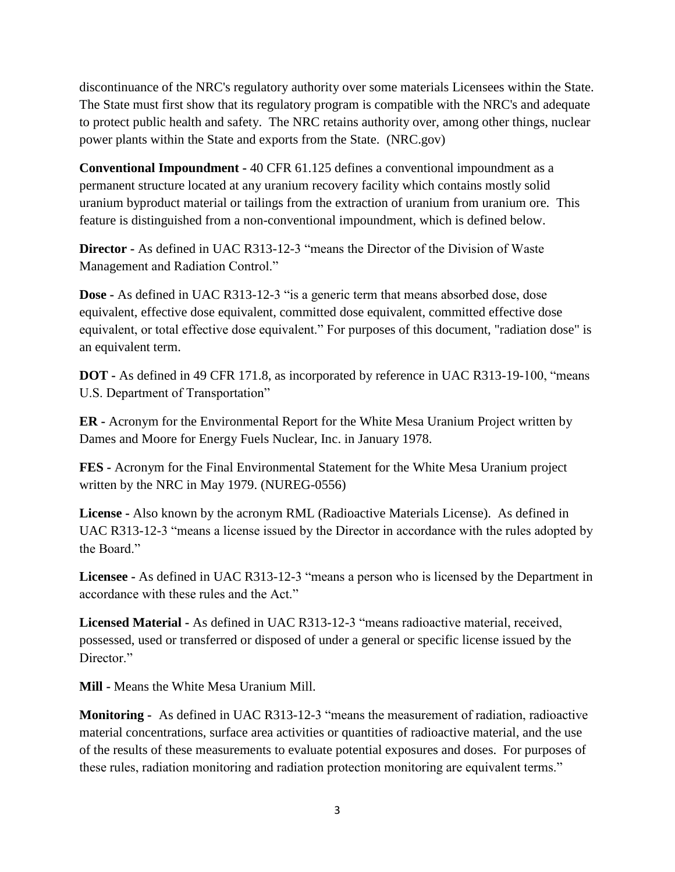discontinuance of the NRC's regulatory authority over some materials Licensees within the State. The State must first show that its regulatory program is compatible with the NRC's and adequate to protect public health and safety. The NRC retains authority over, among other things, nuclear power plants within the State and exports from the State. (NRC.gov)

**Conventional Impoundment -** 40 CFR 61.125 defines a conventional impoundment as a permanent structure located at any uranium recovery facility which contains mostly solid uranium byproduct material or tailings from the extraction of uranium from uranium ore. This feature is distinguished from a non-conventional impoundment, which is defined below.

**Director -** As defined in UAC R313-12-3 "means the Director of the Division of Waste Management and Radiation Control."

**Dose -** As defined in UAC R313-12-3 "is a generic term that means absorbed dose, dose equivalent, effective dose equivalent, committed dose equivalent, committed effective dose equivalent, or total effective dose equivalent." For purposes of this document, "radiation dose" is an equivalent term.

**DOT -** As defined in 49 CFR 171.8, as incorporated by reference in UAC R313-19-100, "means U.S. Department of Transportation"

**ER -** Acronym for the Environmental Report for the White Mesa Uranium Project written by Dames and Moore for Energy Fuels Nuclear, Inc. in January 1978.

**FES -** Acronym for the Final Environmental Statement for the White Mesa Uranium project written by the NRC in May 1979. (NUREG-0556)

**License -** Also known by the acronym RML (Radioactive Materials License). As defined in UAC R313-12-3 "means a license issued by the Director in accordance with the rules adopted by the Board."

**Licensee -** As defined in UAC R313-12-3 "means a person who is licensed by the Department in accordance with these rules and the Act."

**Licensed Material -** As defined in UAC R313-12-3 "means radioactive material, received, possessed, used or transferred or disposed of under a general or specific license issued by the Director."

**Mill -** Means the White Mesa Uranium Mill.

**Monitoring -** As defined in UAC R313-12-3 "means the measurement of radiation, radioactive material concentrations, surface area activities or quantities of radioactive material, and the use of the results of these measurements to evaluate potential exposures and doses. For purposes of these rules, radiation monitoring and radiation protection monitoring are equivalent terms."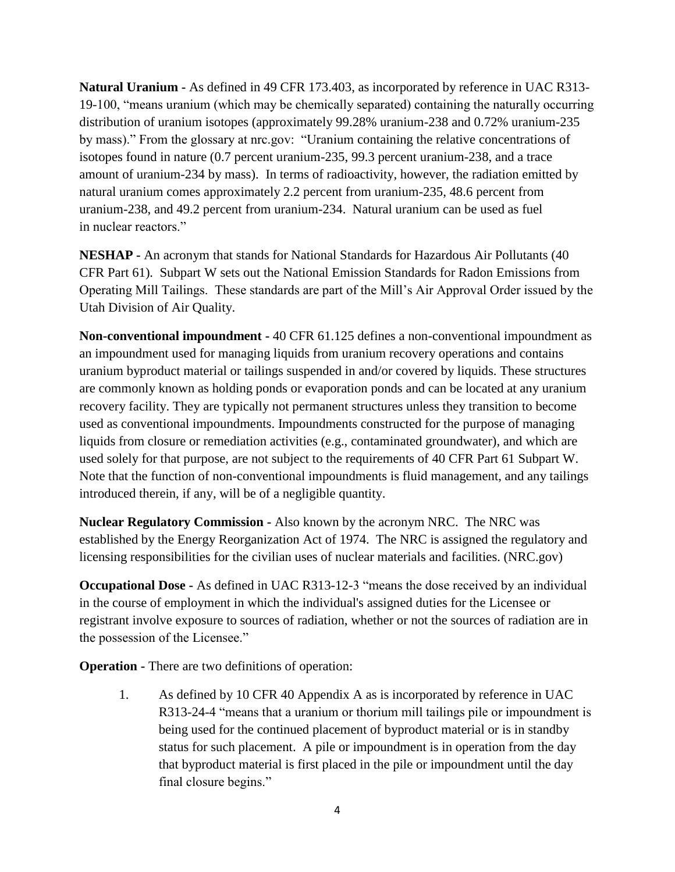**Natural Uranium -** As defined in 49 CFR 173.403, as incorporated by reference in UAC R313- 19-100, "means uranium (which may be chemically separated) containing the naturally occurring distribution of uranium isotopes (approximately 99.28% uranium-238 and 0.72% uranium-235 by mass)." From the glossary at nrc.gov: "Uranium containing the relative concentrations of isotopes found in nature (0.7 percent uranium-235, 99.3 percent uranium-238, and a trace amount of uranium-234 by mass). In terms of radioactivity, however, the radiation emitted by natural uranium comes approximately 2.2 percent from uranium-235, 48.6 percent from uranium-238, and 49.2 percent from uranium-234. Natural uranium can be used as fuel in nuclear reactors."

**NESHAP -** An acronym that stands for National Standards for Hazardous Air Pollutants (40 CFR Part 61). Subpart W sets out the National Emission Standards for Radon Emissions from Operating Mill Tailings. These standards are part of the Mill's Air Approval Order issued by the Utah Division of Air Quality.

**Non-conventional impoundment -** 40 CFR 61.125 defines a non-conventional impoundment as an impoundment used for managing liquids from uranium recovery operations and contains uranium byproduct material or tailings suspended in and/or covered by liquids. These structures are commonly known as holding ponds or evaporation ponds and can be located at any uranium recovery facility. They are typically not permanent structures unless they transition to become used as conventional impoundments. Impoundments constructed for the purpose of managing liquids from closure or remediation activities (e.g., contaminated groundwater), and which are used solely for that purpose, are not subject to the requirements of 40 CFR Part 61 Subpart W. Note that the function of non-conventional impoundments is fluid management, and any tailings introduced therein, if any, will be of a negligible quantity.

**Nuclear Regulatory Commission -** Also known by the acronym NRC. The NRC was established by the Energy Reorganization Act of 1974. The NRC is assigned the regulatory and licensing responsibilities for the civilian uses of nuclear materials and facilities. (NRC.gov)

**Occupational Dose -** As defined in UAC R313-12-3 "means the dose received by an individual in the course of employment in which the individual's assigned duties for the Licensee or registrant involve exposure to sources of radiation, whether or not the sources of radiation are in the possession of the Licensee."

**Operation -** There are two definitions of operation:

1. As defined by 10 CFR 40 Appendix A as is incorporated by reference in UAC R313-24-4 "means that a uranium or thorium mill tailings pile or impoundment is being used for the continued placement of byproduct material or is in standby status for such placement. A pile or impoundment is in operation from the day that byproduct material is first placed in the pile or impoundment until the day final closure begins."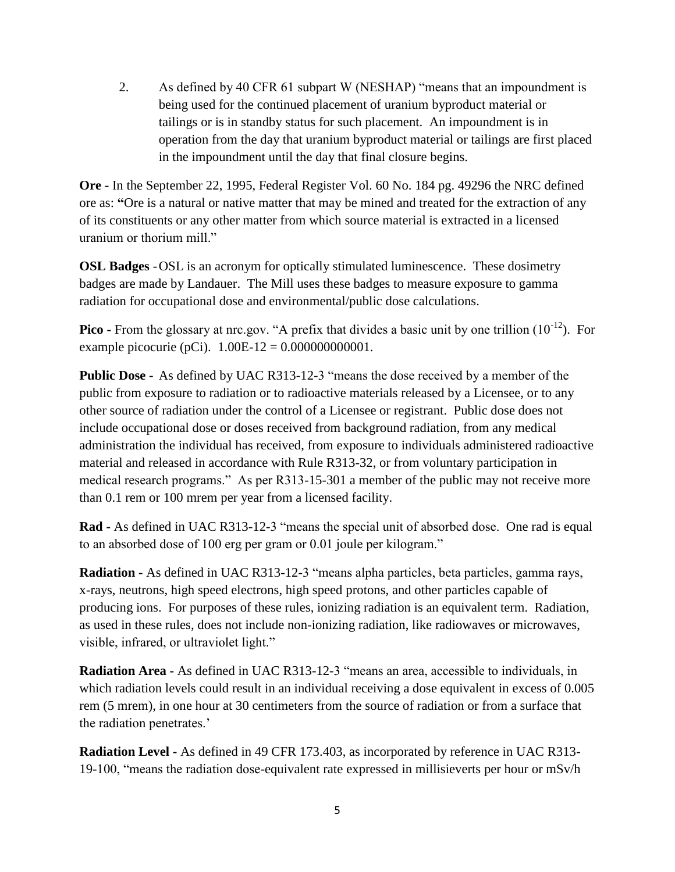2. As defined by 40 CFR 61 subpart W (NESHAP) "means that an impoundment is being used for the continued placement of uranium byproduct material or tailings or is in standby status for such placement. An impoundment is in operation from the day that uranium byproduct material or tailings are first placed in the impoundment until the day that final closure begins.

**Ore -** In the September 22, 1995, Federal Register Vol. 60 No. 184 pg. 49296 the NRC defined ore as: **"**Ore is a natural or native matter that may be mined and treated for the extraction of any of its constituents or any other matter from which source material is extracted in a licensed uranium or thorium mill."

**OSL Badges** -OSL is an acronym for optically stimulated luminescence. These dosimetry badges are made by Landauer. The Mill uses these badges to measure exposure to gamma radiation for occupational dose and environmental/public dose calculations.

**Pico -** From the glossary at nrc.gov. "A prefix that divides a basic unit by one trillion (10<sup>-12</sup>). For example picocurie (pCi). 1.00E-12 = 0.000000000001.

**Public Dose -** As defined by UAC R313-12-3 "means the dose received by a member of the public from exposure to radiation or to radioactive materials released by a Licensee, or to any other source of radiation under the control of a Licensee or registrant. Public dose does not include occupational dose or doses received from background radiation, from any medical administration the individual has received, from exposure to individuals administered radioactive material and released in accordance with Rule R313-32, or from voluntary participation in medical research programs." As per R313-15-301 a member of the public may not receive more than 0.1 rem or 100 mrem per year from a licensed facility.

**Rad -** As defined in UAC R313-12-3 "means the special unit of absorbed dose. One rad is equal to an absorbed dose of 100 erg per gram or 0.01 joule per kilogram."

**Radiation -** As defined in UAC R313-12-3 "means alpha particles, beta particles, gamma rays, x-rays, neutrons, high speed electrons, high speed protons, and other particles capable of producing ions. For purposes of these rules, ionizing radiation is an equivalent term. Radiation, as used in these rules, does not include non-ionizing radiation, like radiowaves or microwaves, visible, infrared, or ultraviolet light."

**Radiation Area -** As defined in UAC R313-12-3 "means an area, accessible to individuals, in which radiation levels could result in an individual receiving a dose equivalent in excess of 0.005 rem (5 mrem), in one hour at 30 centimeters from the source of radiation or from a surface that the radiation penetrates.'

**Radiation Level -** As defined in 49 CFR 173.403, as incorporated by reference in UAC R313- 19-100, "means the radiation dose-equivalent rate expressed in millisieverts per hour or mSv/h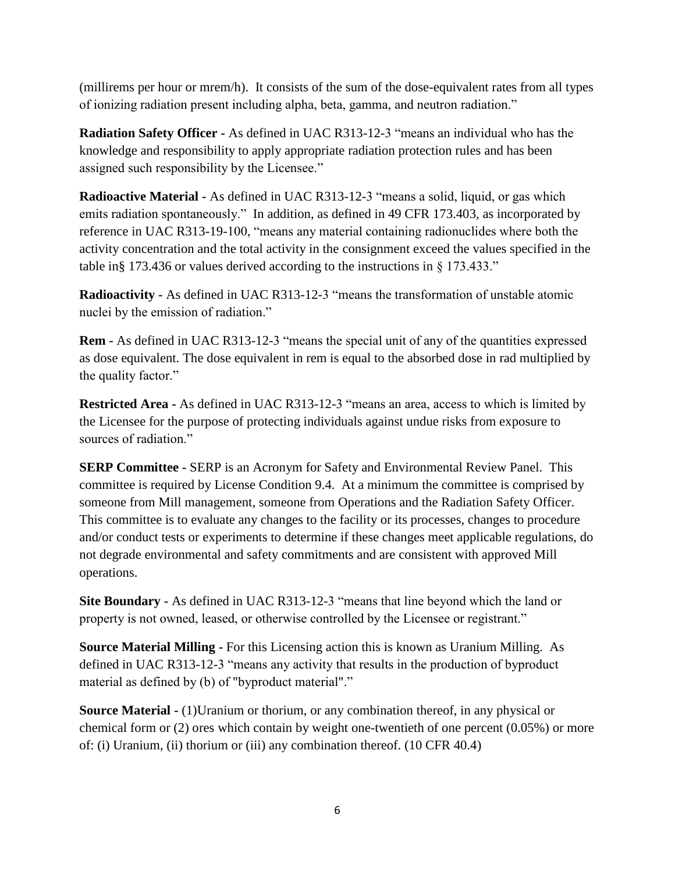(millirems per hour or mrem/h). It consists of the sum of the dose-equivalent rates from all types of ionizing radiation present including alpha, beta, gamma, and neutron radiation."

**Radiation Safety Officer -** As defined in UAC R313-12-3 "means an individual who has the knowledge and responsibility to apply appropriate radiation protection rules and has been assigned such responsibility by the Licensee."

**Radioactive Material -** As defined in UAC R313-12-3 "means a solid, liquid, or gas which emits radiation spontaneously." In addition, as defined in 49 CFR 173.403, as incorporated by reference in UAC R313-19-100, "means any material containing radionuclides where both the activity concentration and the total activity in the consignment exceed the values specified in the table in§ 173.436 or values derived according to the instructions in § 173.433."

**Radioactivity -** As defined in UAC R313-12-3 "means the transformation of unstable atomic nuclei by the emission of radiation."

**Rem -** As defined in UAC R313-12-3 "means the special unit of any of the quantities expressed as dose equivalent. The dose equivalent in rem is equal to the absorbed dose in rad multiplied by the quality factor."

**Restricted Area -** As defined in UAC R313-12-3 "means an area, access to which is limited by the Licensee for the purpose of protecting individuals against undue risks from exposure to sources of radiation."

**SERP Committee -** SERP is an Acronym for Safety and Environmental Review Panel. This committee is required by License Condition 9.4. At a minimum the committee is comprised by someone from Mill management, someone from Operations and the Radiation Safety Officer. This committee is to evaluate any changes to the facility or its processes, changes to procedure and/or conduct tests or experiments to determine if these changes meet applicable regulations, do not degrade environmental and safety commitments and are consistent with approved Mill operations.

**Site Boundary -** As defined in UAC R313-12-3 "means that line beyond which the land or property is not owned, leased, or otherwise controlled by the Licensee or registrant."

**Source Material Milling -** For this Licensing action this is known as Uranium Milling. As defined in UAC R313-12-3 "means any activity that results in the production of byproduct material as defined by (b) of "byproduct material"."

**Source Material -** (1)Uranium or thorium, or any combination thereof, in any physical or chemical form or (2) ores which contain by weight one-twentieth of one percent (0.05%) or more of: (i) Uranium, (ii) thorium or (iii) any combination thereof. (10 CFR 40.4)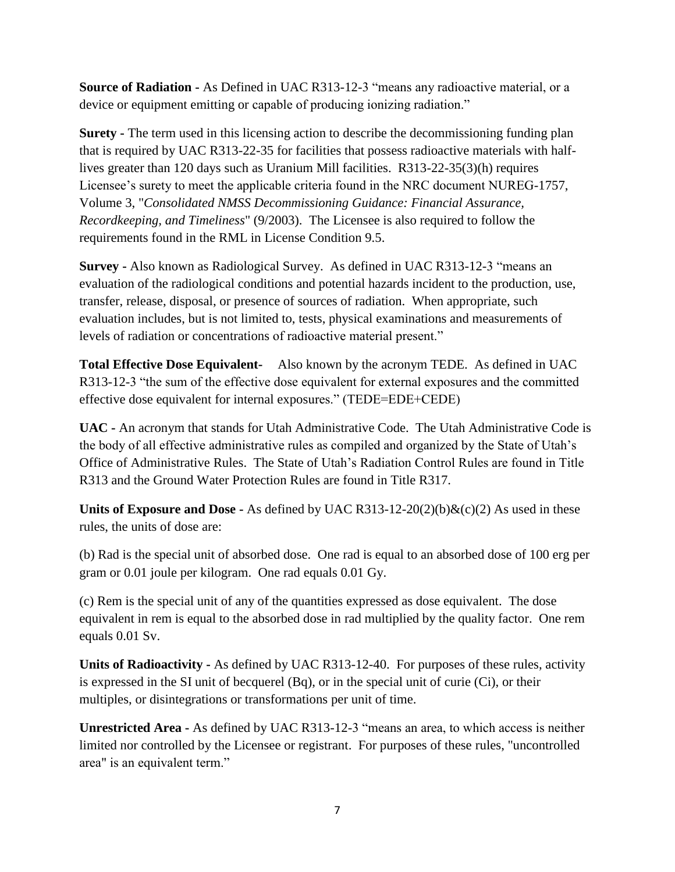**Source of Radiation -** As Defined in UAC R313-12-3 "means any radioactive material, or a device or equipment emitting or capable of producing ionizing radiation."

**Surety -** The term used in this licensing action to describe the decommissioning funding plan that is required by UAC R313-22-35 for facilities that possess radioactive materials with halflives greater than 120 days such as Uranium Mill facilities. R313-22-35(3)(h) requires Licensee's surety to meet the applicable criteria found in the NRC document NUREG-1757, Volume 3, "*Consolidated NMSS Decommissioning Guidance: Financial Assurance, Recordkeeping, and Timeliness*" (9/2003). The Licensee is also required to follow the requirements found in the RML in License Condition 9.5.

**Survey -** Also known as Radiological Survey. As defined in UAC R313-12-3 "means an evaluation of the radiological conditions and potential hazards incident to the production, use, transfer, release, disposal, or presence of sources of radiation. When appropriate, such evaluation includes, but is not limited to, tests, physical examinations and measurements of levels of radiation or concentrations of radioactive material present."

**Total Effective Dose Equivalent-** Also known by the acronym TEDE. As defined in UAC R313-12-3 "the sum of the effective dose equivalent for external exposures and the committed effective dose equivalent for internal exposures." (TEDE=EDE+CEDE)

**UAC -** An acronym that stands for Utah Administrative Code. The Utah Administrative Code is the body of all effective administrative rules as compiled and organized by the State of Utah's Office of Administrative Rules. The State of Utah's Radiation Control Rules are found in Title R313 and the Ground Water Protection Rules are found in Title R317.

**Units of Exposure and Dose -** As defined by UAC R313-12-20(2)(b) $\&$ (c)(2) As used in these rules, the units of dose are:

(b) Rad is the special unit of absorbed dose. One rad is equal to an absorbed dose of 100 erg per gram or 0.01 joule per kilogram. One rad equals 0.01 Gy.

(c) Rem is the special unit of any of the quantities expressed as dose equivalent. The dose equivalent in rem is equal to the absorbed dose in rad multiplied by the quality factor. One rem equals 0.01 Sv.

**Units of Radioactivity -** As defined by UAC R313-12-40. For purposes of these rules, activity is expressed in the SI unit of becquerel (Bq), or in the special unit of curie (Ci), or their multiples, or disintegrations or transformations per unit of time.

**Unrestricted Area -** As defined by UAC R313-12-3 "means an area, to which access is neither limited nor controlled by the Licensee or registrant. For purposes of these rules, "uncontrolled area" is an equivalent term."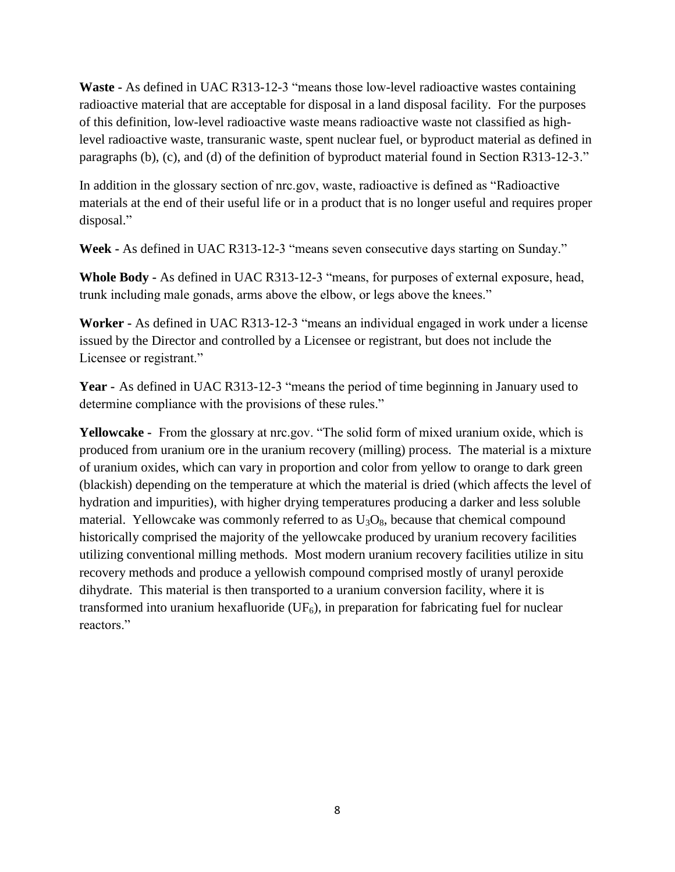**Waste -** As defined in UAC R313-12-3 "means those low-level radioactive wastes containing radioactive material that are acceptable for disposal in a land disposal facility. For the purposes of this definition, low-level radioactive waste means radioactive waste not classified as highlevel radioactive waste, transuranic waste, spent nuclear fuel, or byproduct material as defined in paragraphs (b), (c), and (d) of the definition of byproduct material found in Section R313-12-3."

In addition in the glossary section of nrc.gov, waste, radioactive is defined as "Radioactive materials at the end of their useful life or in a product that is no longer useful and requires proper disposal."

**Week -** As defined in UAC R313-12-3 "means seven consecutive days starting on Sunday."

**Whole Body -** As defined in UAC R313-12-3 "means, for purposes of external exposure, head, trunk including male gonads, arms above the elbow, or legs above the knees."

**Worker -** As defined in UAC R313-12-3 "means an individual engaged in work under a license issued by the Director and controlled by a Licensee or registrant, but does not include the Licensee or registrant."

**Year -** As defined in UAC R313-12-3 "means the period of time beginning in January used to determine compliance with the provisions of these rules."

**Yellowcake -** From the glossary at nrc.gov. "The solid form of mixed uranium oxide, which is produced from uranium ore in the uranium recovery (milling) process. The material is a mixture of uranium oxides, which can vary in proportion and color from yellow to orange to dark green (blackish) depending on the temperature at which the material is dried (which affects the level of hydration and impurities), with higher drying temperatures producing a darker and less soluble material. Yellowcake was commonly referred to as  $U_3O_8$ , because that chemical compound historically comprised the majority of the yellowcake produced by uranium recovery facilities utilizing conventional milling methods. Most modern uranium recovery facilities utilize in situ recovery methods and produce a yellowish compound comprised mostly of uranyl peroxide dihydrate. This material is then transported to a uranium conversion facility, where it is transformed into uranium hexafluoride  $(UF<sub>6</sub>)$ , in preparation for fabricating fuel for nuclear reactors."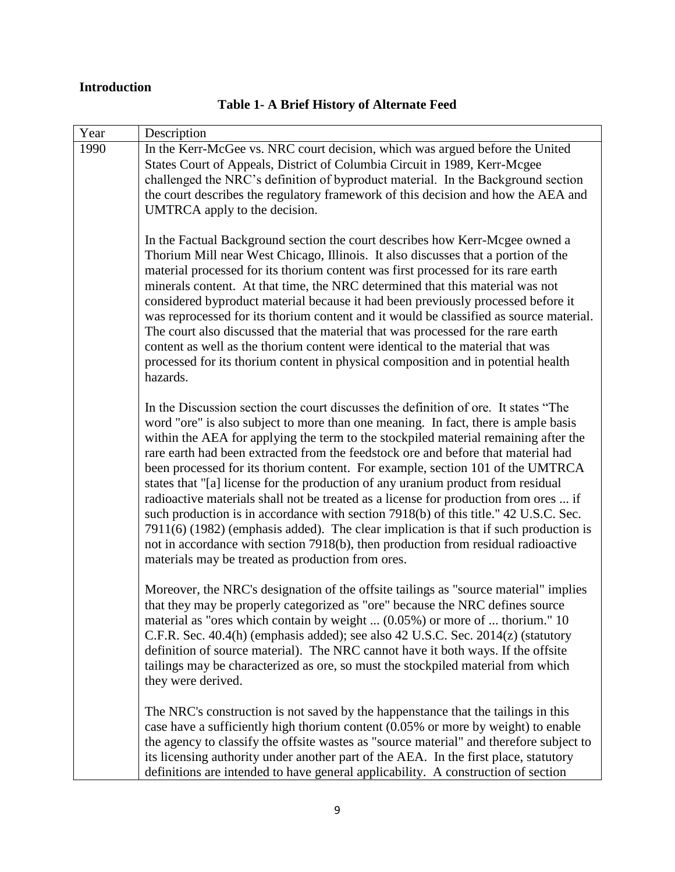# <span id="page-9-0"></span>**Introduction**

| Year | Description                                                                                                                                                                                                                                                                                                                                                                                                                                                                                                                                                                                                                                                                                                                                                                                                                                                                                                                                   |
|------|-----------------------------------------------------------------------------------------------------------------------------------------------------------------------------------------------------------------------------------------------------------------------------------------------------------------------------------------------------------------------------------------------------------------------------------------------------------------------------------------------------------------------------------------------------------------------------------------------------------------------------------------------------------------------------------------------------------------------------------------------------------------------------------------------------------------------------------------------------------------------------------------------------------------------------------------------|
| 1990 | In the Kerr-McGee vs. NRC court decision, which was argued before the United<br>States Court of Appeals, District of Columbia Circuit in 1989, Kerr-Mcgee<br>challenged the NRC's definition of byproduct material. In the Background section<br>the court describes the regulatory framework of this decision and how the AEA and<br>UMTRCA apply to the decision.                                                                                                                                                                                                                                                                                                                                                                                                                                                                                                                                                                           |
|      | In the Factual Background section the court describes how Kerr-Mcgee owned a<br>Thorium Mill near West Chicago, Illinois. It also discusses that a portion of the<br>material processed for its thorium content was first processed for its rare earth<br>minerals content. At that time, the NRC determined that this material was not<br>considered byproduct material because it had been previously processed before it<br>was reprocessed for its thorium content and it would be classified as source material.<br>The court also discussed that the material that was processed for the rare earth<br>content as well as the thorium content were identical to the material that was<br>processed for its thorium content in physical composition and in potential health<br>hazards.                                                                                                                                                  |
|      | In the Discussion section the court discusses the definition of ore. It states "The<br>word "ore" is also subject to more than one meaning. In fact, there is ample basis<br>within the AEA for applying the term to the stockpiled material remaining after the<br>rare earth had been extracted from the feedstock ore and before that material had<br>been processed for its thorium content. For example, section 101 of the UMTRCA<br>states that "[a] license for the production of any uranium product from residual<br>radioactive materials shall not be treated as a license for production from ores  if<br>such production is in accordance with section 7918(b) of this title." 42 U.S.C. Sec.<br>7911(6) (1982) (emphasis added). The clear implication is that if such production is<br>not in accordance with section 7918(b), then production from residual radioactive<br>materials may be treated as production from ores. |
|      | Moreover, the NRC's designation of the offsite tailings as "source material" implies<br>that they may be properly categorized as "ore" because the NRC defines source<br>material as "ores which contain by weight  (0.05%) or more of  thorium." 10<br>C.F.R. Sec. 40.4(h) (emphasis added); see also 42 U.S.C. Sec. 2014(z) (statutory<br>definition of source material). The NRC cannot have it both ways. If the offsite<br>tailings may be characterized as ore, so must the stockpiled material from which<br>they were derived.                                                                                                                                                                                                                                                                                                                                                                                                        |
|      | The NRC's construction is not saved by the happenstance that the tailings in this<br>case have a sufficiently high thorium content (0.05% or more by weight) to enable<br>the agency to classify the offsite wastes as "source material" and therefore subject to<br>its licensing authority under another part of the AEA. In the first place, statutory<br>definitions are intended to have general applicability. A construction of section                                                                                                                                                                                                                                                                                                                                                                                                                                                                                                |

# **Table 1- A Brief History of Alternate Feed**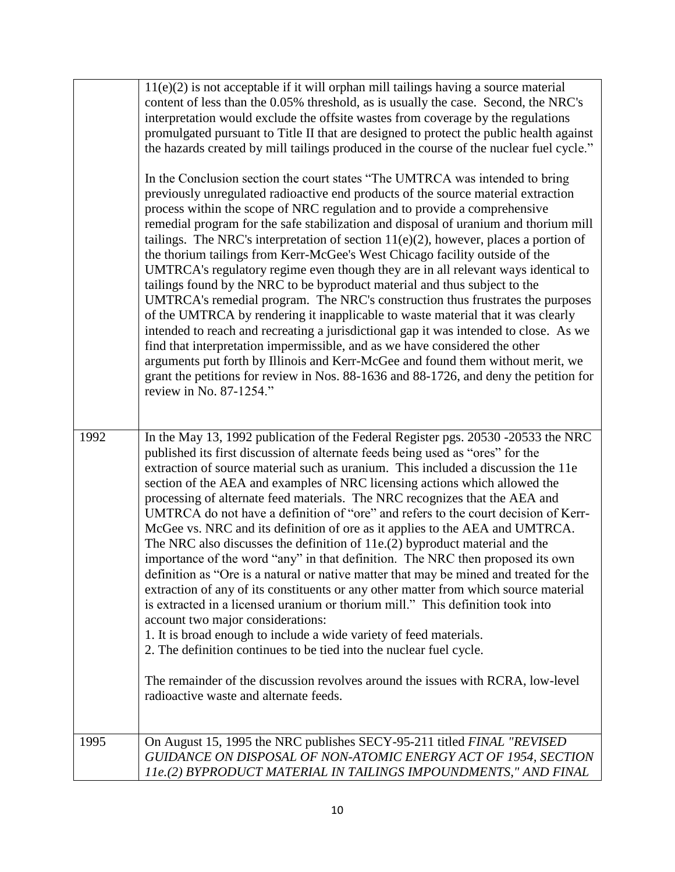|      | $11(e)(2)$ is not acceptable if it will orphan mill tailings having a source material<br>content of less than the 0.05% threshold, as is usually the case. Second, the NRC's<br>interpretation would exclude the offsite wastes from coverage by the regulations<br>promulgated pursuant to Title II that are designed to protect the public health against<br>the hazards created by mill tailings produced in the course of the nuclear fuel cycle."<br>In the Conclusion section the court states "The UMTRCA was intended to bring<br>previously unregulated radioactive end products of the source material extraction<br>process within the scope of NRC regulation and to provide a comprehensive<br>remedial program for the safe stabilization and disposal of uranium and thorium mill<br>tailings. The NRC's interpretation of section $11(e)(2)$ , however, places a portion of<br>the thorium tailings from Kerr-McGee's West Chicago facility outside of the<br>UMTRCA's regulatory regime even though they are in all relevant ways identical to<br>tailings found by the NRC to be byproduct material and thus subject to the<br>UMTRCA's remedial program. The NRC's construction thus frustrates the purposes<br>of the UMTRCA by rendering it inapplicable to waste material that it was clearly<br>intended to reach and recreating a jurisdictional gap it was intended to close. As we<br>find that interpretation impermissible, and as we have considered the other<br>arguments put forth by Illinois and Kerr-McGee and found them without merit, we<br>grant the petitions for review in Nos. 88-1636 and 88-1726, and deny the petition for<br>review in No. 87-1254." |
|------|----------------------------------------------------------------------------------------------------------------------------------------------------------------------------------------------------------------------------------------------------------------------------------------------------------------------------------------------------------------------------------------------------------------------------------------------------------------------------------------------------------------------------------------------------------------------------------------------------------------------------------------------------------------------------------------------------------------------------------------------------------------------------------------------------------------------------------------------------------------------------------------------------------------------------------------------------------------------------------------------------------------------------------------------------------------------------------------------------------------------------------------------------------------------------------------------------------------------------------------------------------------------------------------------------------------------------------------------------------------------------------------------------------------------------------------------------------------------------------------------------------------------------------------------------------------------------------------------------------------------------------------------------------------------------------------------------|
| 1992 | In the May 13, 1992 publication of the Federal Register pgs. 20530 -20533 the NRC<br>published its first discussion of alternate feeds being used as "ores" for the<br>extraction of source material such as uranium. This included a discussion the 11e<br>section of the AEA and examples of NRC licensing actions which allowed the<br>processing of alternate feed materials. The NRC recognizes that the AEA and<br>UMTRCA do not have a definition of "ore" and refers to the court decision of Kerr-<br>McGee vs. NRC and its definition of ore as it applies to the AEA and UMTRCA.<br>The NRC also discusses the definition of 11e.(2) byproduct material and the<br>importance of the word "any" in that definition. The NRC then proposed its own<br>definition as "Ore is a natural or native matter that may be mined and treated for the<br>extraction of any of its constituents or any other matter from which source material<br>is extracted in a licensed uranium or thorium mill." This definition took into<br>account two major considerations:<br>1. It is broad enough to include a wide variety of feed materials.<br>2. The definition continues to be tied into the nuclear fuel cycle.<br>The remainder of the discussion revolves around the issues with RCRA, low-level<br>radioactive waste and alternate feeds.                                                                                                                                                                                                                                                                                                                                                    |
| 1995 | On August 15, 1995 the NRC publishes SECY-95-211 titled FINAL "REVISED"<br>GUIDANCE ON DISPOSAL OF NON-ATOMIC ENERGY ACT OF 1954, SECTION<br>11e.(2) BYPRODUCT MATERIAL IN TAILINGS IMPOUNDMENTS," AND FINAL                                                                                                                                                                                                                                                                                                                                                                                                                                                                                                                                                                                                                                                                                                                                                                                                                                                                                                                                                                                                                                                                                                                                                                                                                                                                                                                                                                                                                                                                                       |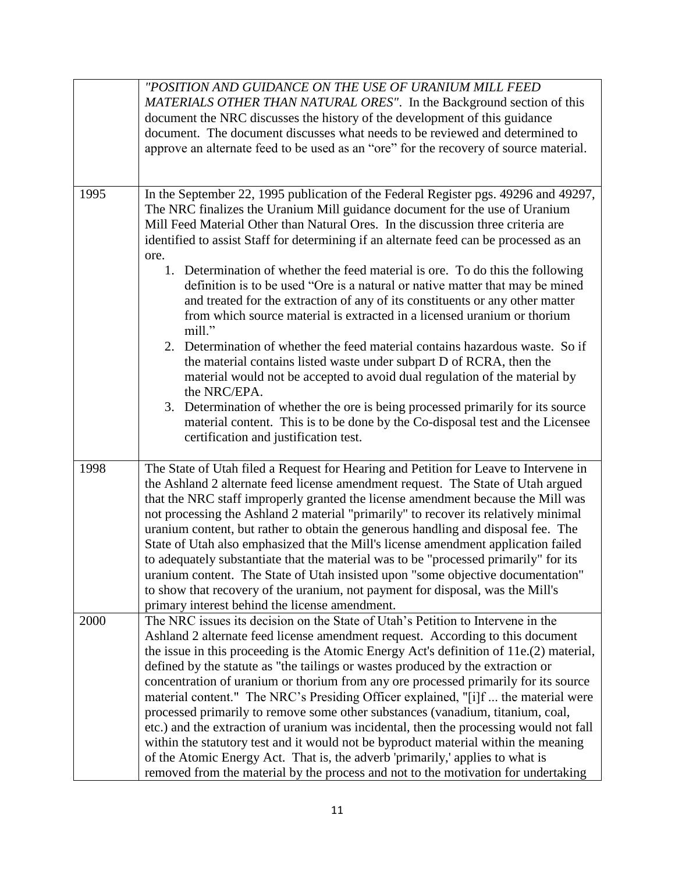|      | "POSITION AND GUIDANCE ON THE USE OF URANIUM MILL FEED<br>MATERIALS OTHER THAN NATURAL ORES". In the Background section of this<br>document the NRC discusses the history of the development of this guidance<br>document. The document discusses what needs to be reviewed and determined to<br>approve an alternate feed to be used as an "ore" for the recovery of source material.                                                                                                                                                                                                                                                                                                                                                                                                                                                                                                                                                                                 |
|------|------------------------------------------------------------------------------------------------------------------------------------------------------------------------------------------------------------------------------------------------------------------------------------------------------------------------------------------------------------------------------------------------------------------------------------------------------------------------------------------------------------------------------------------------------------------------------------------------------------------------------------------------------------------------------------------------------------------------------------------------------------------------------------------------------------------------------------------------------------------------------------------------------------------------------------------------------------------------|
|      |                                                                                                                                                                                                                                                                                                                                                                                                                                                                                                                                                                                                                                                                                                                                                                                                                                                                                                                                                                        |
| 1995 | In the September 22, 1995 publication of the Federal Register pgs. 49296 and 49297,<br>The NRC finalizes the Uranium Mill guidance document for the use of Uranium<br>Mill Feed Material Other than Natural Ores. In the discussion three criteria are<br>identified to assist Staff for determining if an alternate feed can be processed as an<br>ore.<br>1. Determination of whether the feed material is ore. To do this the following<br>definition is to be used "Ore is a natural or native matter that may be mined<br>and treated for the extraction of any of its constituents or any other matter<br>from which source material is extracted in a licensed uranium or thorium<br>mill."                                                                                                                                                                                                                                                                     |
|      | 2. Determination of whether the feed material contains hazardous waste. So if<br>the material contains listed waste under subpart D of RCRA, then the<br>material would not be accepted to avoid dual regulation of the material by<br>the NRC/EPA.<br>3. Determination of whether the ore is being processed primarily for its source<br>material content. This is to be done by the Co-disposal test and the Licensee<br>certification and justification test.                                                                                                                                                                                                                                                                                                                                                                                                                                                                                                       |
| 1998 | The State of Utah filed a Request for Hearing and Petition for Leave to Intervene in<br>the Ashland 2 alternate feed license amendment request. The State of Utah argued<br>that the NRC staff improperly granted the license amendment because the Mill was<br>not processing the Ashland 2 material "primarily" to recover its relatively minimal<br>uranium content, but rather to obtain the generous handling and disposal fee. The<br>State of Utah also emphasized that the Mill's license amendment application failed<br>to adequately substantiate that the material was to be "processed primarily" for its<br>uranium content. The State of Utah insisted upon "some objective documentation"<br>to show that recovery of the uranium, not payment for disposal, was the Mill's<br>primary interest behind the license amendment.                                                                                                                          |
| 2000 | The NRC issues its decision on the State of Utah's Petition to Intervene in the<br>Ashland 2 alternate feed license amendment request. According to this document<br>the issue in this proceeding is the Atomic Energy Act's definition of 11e.(2) material,<br>defined by the statute as "the tailings or wastes produced by the extraction or<br>concentration of uranium or thorium from any ore processed primarily for its source<br>material content." The NRC's Presiding Officer explained, "[i]f  the material were<br>processed primarily to remove some other substances (vanadium, titanium, coal,<br>etc.) and the extraction of uranium was incidental, then the processing would not fall<br>within the statutory test and it would not be byproduct material within the meaning<br>of the Atomic Energy Act. That is, the adverb 'primarily,' applies to what is<br>removed from the material by the process and not to the motivation for undertaking |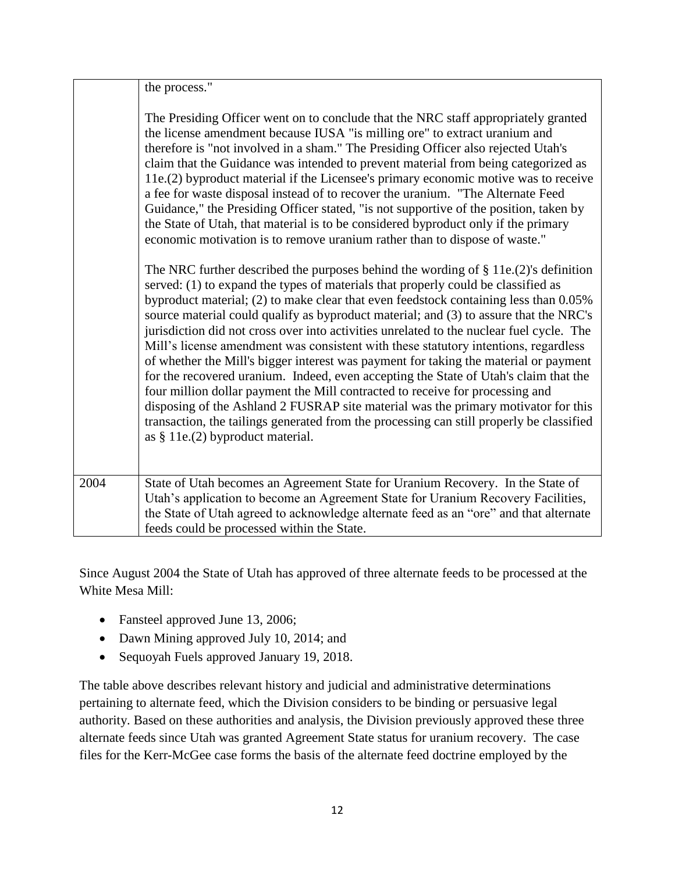|      | the process."                                                                                                                                                                                                                                                                                                                                                                                                                                                                                                                                                                                                                                                                                                                                                                                                                                                                                                                                                                                                                             |
|------|-------------------------------------------------------------------------------------------------------------------------------------------------------------------------------------------------------------------------------------------------------------------------------------------------------------------------------------------------------------------------------------------------------------------------------------------------------------------------------------------------------------------------------------------------------------------------------------------------------------------------------------------------------------------------------------------------------------------------------------------------------------------------------------------------------------------------------------------------------------------------------------------------------------------------------------------------------------------------------------------------------------------------------------------|
|      | The Presiding Officer went on to conclude that the NRC staff appropriately granted<br>the license amendment because IUSA "is milling ore" to extract uranium and<br>therefore is "not involved in a sham." The Presiding Officer also rejected Utah's<br>claim that the Guidance was intended to prevent material from being categorized as<br>11e.(2) byproduct material if the Licensee's primary economic motive was to receive<br>a fee for waste disposal instead of to recover the uranium. "The Alternate Feed<br>Guidance," the Presiding Officer stated, "is not supportive of the position, taken by<br>the State of Utah, that material is to be considered byproduct only if the primary<br>economic motivation is to remove uranium rather than to dispose of waste."                                                                                                                                                                                                                                                        |
|      | The NRC further described the purposes behind the wording of $\S 11e.(2)$ 's definition<br>served: (1) to expand the types of materials that properly could be classified as<br>byproduct material; (2) to make clear that even feedstock containing less than 0.05%<br>source material could qualify as byproduct material; and (3) to assure that the NRC's<br>jurisdiction did not cross over into activities unrelated to the nuclear fuel cycle. The<br>Mill's license amendment was consistent with these statutory intentions, regardless<br>of whether the Mill's bigger interest was payment for taking the material or payment<br>for the recovered uranium. Indeed, even accepting the State of Utah's claim that the<br>four million dollar payment the Mill contracted to receive for processing and<br>disposing of the Ashland 2 FUSRAP site material was the primary motivator for this<br>transaction, the tailings generated from the processing can still properly be classified<br>as $§$ 11e.(2) byproduct material. |
| 2004 | State of Utah becomes an Agreement State for Uranium Recovery. In the State of<br>Utah's application to become an Agreement State for Uranium Recovery Facilities,                                                                                                                                                                                                                                                                                                                                                                                                                                                                                                                                                                                                                                                                                                                                                                                                                                                                        |
|      | the State of Utah agreed to acknowledge alternate feed as an "ore" and that alternate<br>feeds could be processed within the State.                                                                                                                                                                                                                                                                                                                                                                                                                                                                                                                                                                                                                                                                                                                                                                                                                                                                                                       |

Since August 2004 the State of Utah has approved of three alternate feeds to be processed at the White Mesa Mill:

- Fansteel approved June 13, 2006;
- Dawn Mining approved July 10, 2014; and
- Sequoyah Fuels approved January 19, 2018.

The table above describes relevant history and judicial and administrative determinations pertaining to alternate feed, which the Division considers to be binding or persuasive legal authority. Based on these authorities and analysis, the Division previously approved these three alternate feeds since Utah was granted Agreement State status for uranium recovery. The case files for the Kerr-McGee case forms the basis of the alternate feed doctrine employed by the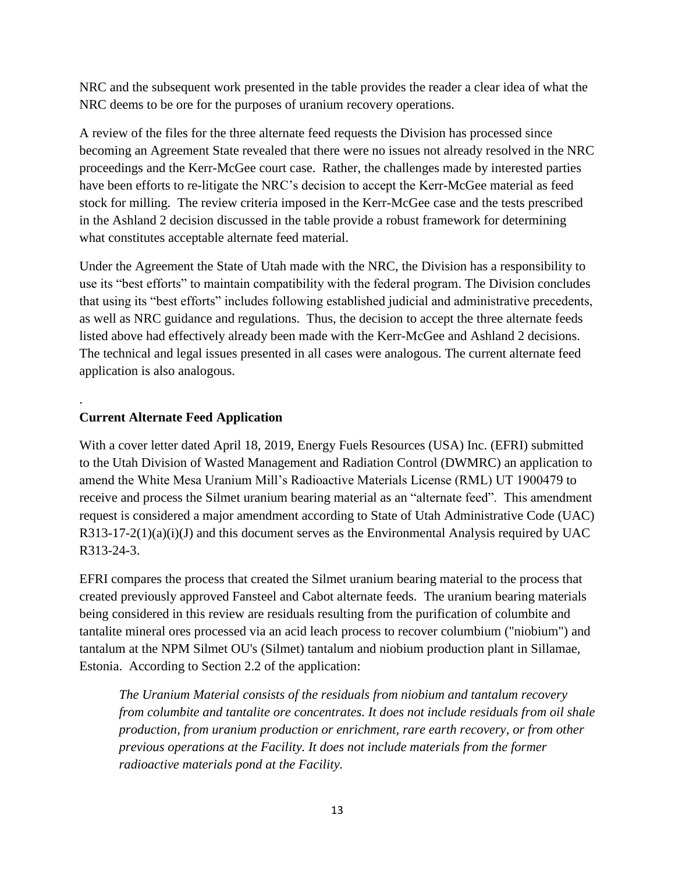NRC and the subsequent work presented in the table provides the reader a clear idea of what the NRC deems to be ore for the purposes of uranium recovery operations.

A review of the files for the three alternate feed requests the Division has processed since becoming an Agreement State revealed that there were no issues not already resolved in the NRC proceedings and the Kerr-McGee court case. Rather, the challenges made by interested parties have been efforts to re-litigate the NRC's decision to accept the Kerr-McGee material as feed stock for milling. The review criteria imposed in the Kerr-McGee case and the tests prescribed in the Ashland 2 decision discussed in the table provide a robust framework for determining what constitutes acceptable alternate feed material.

Under the Agreement the State of Utah made with the NRC, the Division has a responsibility to use its "best efforts" to maintain compatibility with the federal program. The Division concludes that using its "best efforts" includes following established judicial and administrative precedents, as well as NRC guidance and regulations. Thus, the decision to accept the three alternate feeds listed above had effectively already been made with the Kerr-McGee and Ashland 2 decisions. The technical and legal issues presented in all cases were analogous. The current alternate feed application is also analogous.

# **Current Alternate Feed Application**

.

With a cover letter dated April 18, 2019, Energy Fuels Resources (USA) Inc. (EFRI) submitted to the Utah Division of Wasted Management and Radiation Control (DWMRC) an application to amend the White Mesa Uranium Mill's Radioactive Materials License (RML) UT 1900479 to receive and process the Silmet uranium bearing material as an "alternate feed". This amendment request is considered a major amendment according to State of Utah Administrative Code (UAC)  $R313-17-2(1)(a)(i)(J)$  and this document serves as the Environmental Analysis required by UAC R313-24-3.

EFRI compares the process that created the Silmet uranium bearing material to the process that created previously approved Fansteel and Cabot alternate feeds. The uranium bearing materials being considered in this review are residuals resulting from the purification of columbite and tantalite mineral ores processed via an acid leach process to recover columbium ("niobium") and tantalum at the NPM Silmet OU's (Silmet) tantalum and niobium production plant in Sillamae, Estonia. According to Section 2.2 of the application:

*The Uranium Material consists of the residuals from niobium and tantalum recovery from columbite and tantalite ore concentrates. It does not include residuals from oil shale production, from uranium production or enrichment, rare earth recovery, or from other previous operations at the Facility. It does not include materials from the former radioactive materials pond at the Facility.*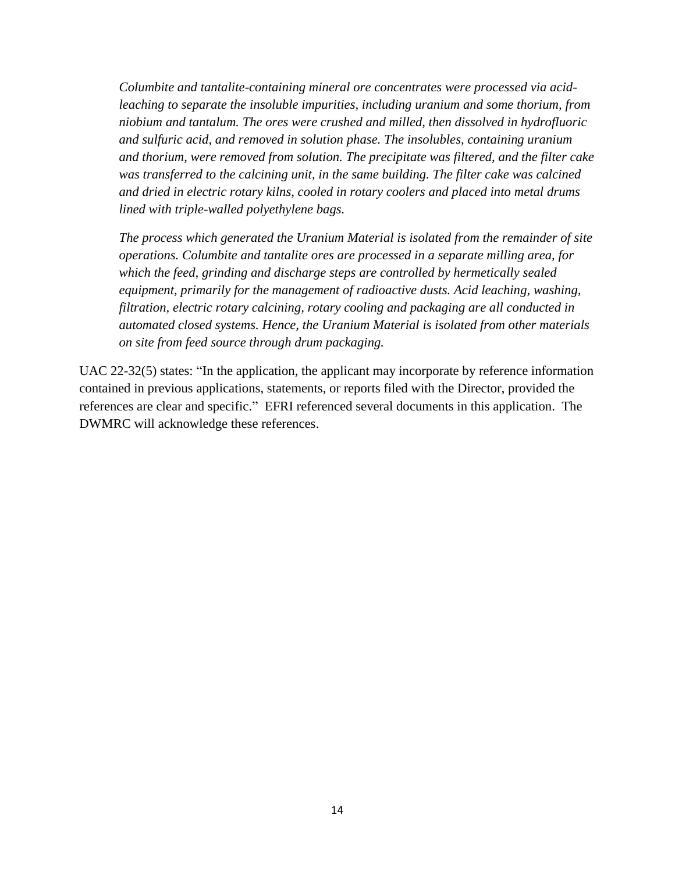*Columbite and tantalite-containing mineral ore concentrates were processed via acidleaching to separate the insoluble impurities, including uranium and some thorium, from niobium and tantalum. The ores were crushed and milled, then dissolved in hydrofluoric and sulfuric acid, and removed in solution phase. The insolubles, containing uranium and thorium, were removed from solution. The precipitate was filtered, and the filter cake*  was transferred to the calcining unit, in the same building. The filter cake was calcined *and dried in electric rotary kilns, cooled in rotary coolers and placed into metal drums lined with triple-walled polyethylene bags.*

*The process which generated the Uranium Material is isolated from the remainder of site operations. Columbite and tantalite ores are processed in a separate milling area, for which the feed, grinding and discharge steps are controlled by hermetically sealed equipment, primarily for the management of radioactive dusts. Acid leaching, washing, filtration, electric rotary calcining, rotary cooling and packaging are all conducted in automated closed systems. Hence, the Uranium Material is isolated from other materials on site from feed source through drum packaging.*

UAC 22-32(5) states: "In the application, the applicant may incorporate by reference information contained in previous applications, statements, or reports filed with the Director, provided the references are clear and specific." EFRI referenced several documents in this application. The DWMRC will acknowledge these references.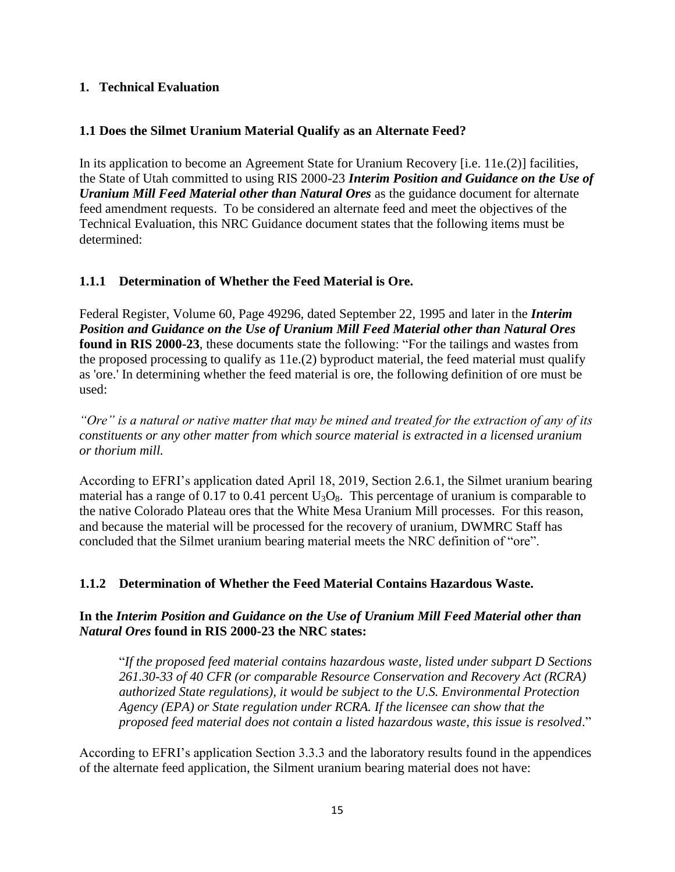#### <span id="page-15-1"></span><span id="page-15-0"></span>**1. Technical Evaluation**

# **1.1 Does the Silmet Uranium Material Qualify as an Alternate Feed?**

In its application to become an Agreement State for Uranium Recovery [i.e. 11e.(2)] facilities, the State of Utah committed to using RIS 2000-23 *Interim Position and Guidance on the Use of Uranium Mill Feed Material other than Natural Ores* as the guidance document for alternate feed amendment requests. To be considered an alternate feed and meet the objectives of the Technical Evaluation, this NRC Guidance document states that the following items must be determined:

# <span id="page-15-2"></span>**1.1.1 Determination of Whether the Feed Material is Ore.**

Federal Register, Volume 60, Page 49296, dated September 22, 1995 and later in the *Interim Position and Guidance on the Use of Uranium Mill Feed Material other than Natural Ores* **found in RIS 2000-23**, these documents state the following: "For the tailings and wastes from the proposed processing to qualify as 11e.(2) byproduct material, the feed material must qualify as 'ore.' In determining whether the feed material is ore, the following definition of ore must be used:

*"Ore" is a natural or native matter that may be mined and treated for the extraction of any of its constituents or any other matter from which source material is extracted in a licensed uranium or thorium mill.*

According to EFRI's application dated April 18, 2019, Section 2.6.1, the Silmet uranium bearing material has a range of 0.17 to 0.41 percent  $U_3O_8$ . This percentage of uranium is comparable to the native Colorado Plateau ores that the White Mesa Uranium Mill processes. For this reason, and because the material will be processed for the recovery of uranium, DWMRC Staff has concluded that the Silmet uranium bearing material meets the NRC definition of "ore".

# <span id="page-15-3"></span>**1.1.2 Determination of Whether the Feed Material Contains Hazardous Waste.**

#### **In the** *Interim Position and Guidance on the Use of Uranium Mill Feed Material other than Natural Ores* **found in RIS 2000-23 the NRC states:**

"*If the proposed feed material contains hazardous waste, listed under subpart D Sections 261.30-33 of 40 CFR (or comparable Resource Conservation and Recovery Act (RCRA) authorized State regulations), it would be subject to the U.S. Environmental Protection Agency (EPA) or State regulation under RCRA. If the licensee can show that the proposed feed material does not contain a listed hazardous waste, this issue is resolved*."

According to EFRI's application Section 3.3.3 and the laboratory results found in the appendices of the alternate feed application, the Silment uranium bearing material does not have: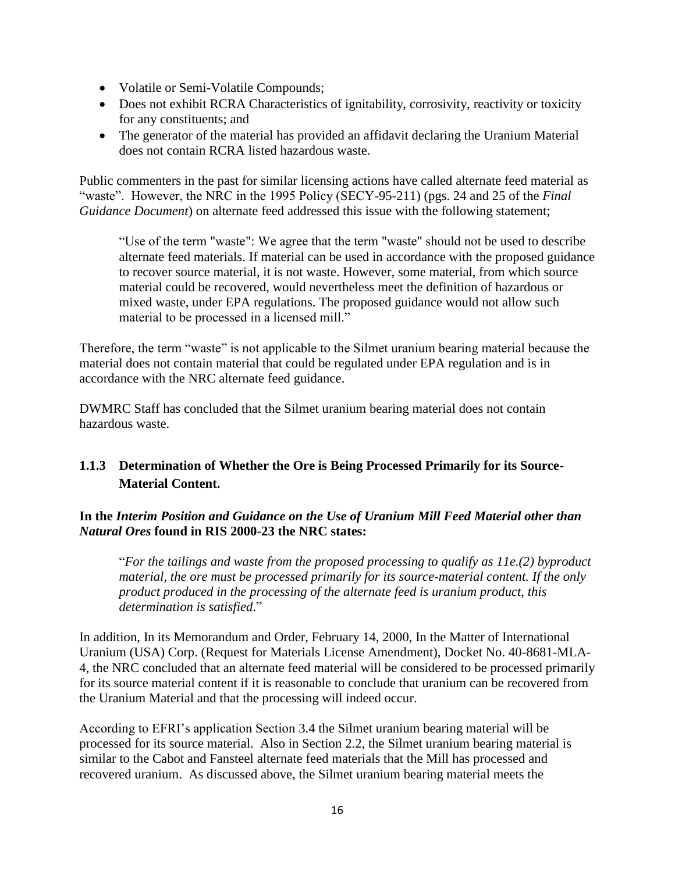- Volatile or Semi-Volatile Compounds;
- Does not exhibit RCRA Characteristics of ignitability, corrosivity, reactivity or toxicity for any constituents; and
- The generator of the material has provided an affidavit declaring the Uranium Material does not contain RCRA listed hazardous waste.

Public commenters in the past for similar licensing actions have called alternate feed material as "waste". However, the NRC in the 1995 Policy (SECY-95-211) (pgs. 24 and 25 of the *Final Guidance Document*) on alternate feed addressed this issue with the following statement;

"Use of the term "waste": We agree that the term "waste" should not be used to describe alternate feed materials. If material can be used in accordance with the proposed guidance to recover source material, it is not waste. However, some material, from which source material could be recovered, would nevertheless meet the definition of hazardous or mixed waste, under EPA regulations. The proposed guidance would not allow such material to be processed in a licensed mill."

Therefore, the term "waste" is not applicable to the Silmet uranium bearing material because the material does not contain material that could be regulated under EPA regulation and is in accordance with the NRC alternate feed guidance.

DWMRC Staff has concluded that the Silmet uranium bearing material does not contain hazardous waste.

# <span id="page-16-0"></span>**1.1.3 Determination of Whether the Ore is Being Processed Primarily for its Source-Material Content.**

# **In the** *Interim Position and Guidance on the Use of Uranium Mill Feed Material other than Natural Ores* **found in RIS 2000-23 the NRC states:**

"*For the tailings and waste from the proposed processing to qualify as 11e.(2) byproduct material, the ore must be processed primarily for its source-material content. If the only product produced in the processing of the alternate feed is uranium product, this determination is satisfied*."

In addition, In its Memorandum and Order, February 14, 2000, In the Matter of International Uranium (USA) Corp. (Request for Materials License Amendment), Docket No. 40-8681-MLA-4, the NRC concluded that an alternate feed material will be considered to be processed primarily for its source material content if it is reasonable to conclude that uranium can be recovered from the Uranium Material and that the processing will indeed occur.

According to EFRI's application Section 3.4 the Silmet uranium bearing material will be processed for its source material. Also in Section 2.2, the Silmet uranium bearing material is similar to the Cabot and Fansteel alternate feed materials that the Mill has processed and recovered uranium. As discussed above, the Silmet uranium bearing material meets the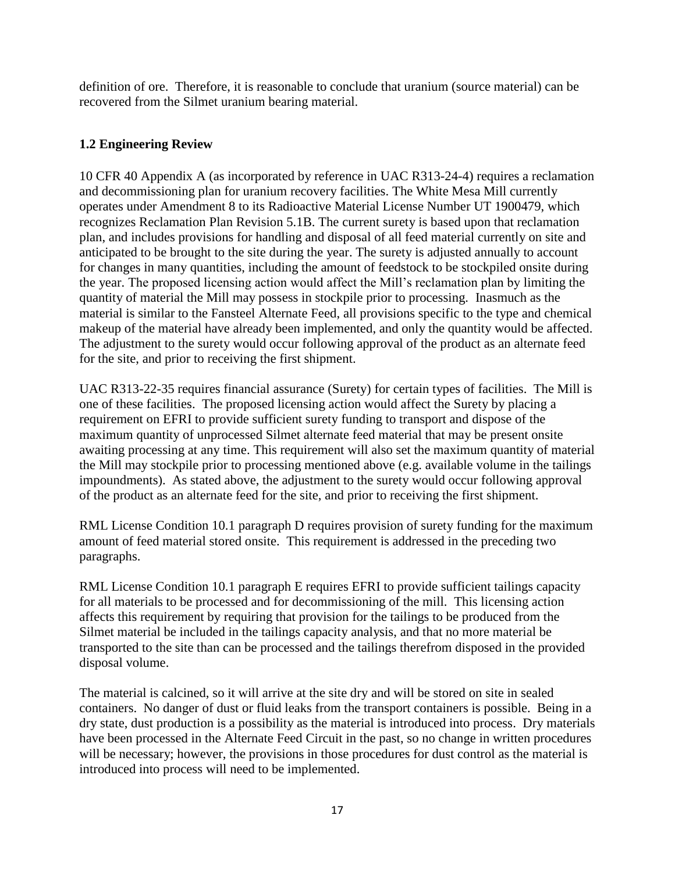definition of ore. Therefore, it is reasonable to conclude that uranium (source material) can be recovered from the Silmet uranium bearing material.

# <span id="page-17-0"></span>**1.2 Engineering Review**

10 CFR 40 Appendix A (as incorporated by reference in UAC R313-24-4) requires a reclamation and decommissioning plan for uranium recovery facilities. The White Mesa Mill currently operates under Amendment 8 to its Radioactive Material License Number UT 1900479, which recognizes Reclamation Plan Revision 5.1B. The current surety is based upon that reclamation plan, and includes provisions for handling and disposal of all feed material currently on site and anticipated to be brought to the site during the year. The surety is adjusted annually to account for changes in many quantities, including the amount of feedstock to be stockpiled onsite during the year. The proposed licensing action would affect the Mill's reclamation plan by limiting the quantity of material the Mill may possess in stockpile prior to processing. Inasmuch as the material is similar to the Fansteel Alternate Feed, all provisions specific to the type and chemical makeup of the material have already been implemented, and only the quantity would be affected. The adjustment to the surety would occur following approval of the product as an alternate feed for the site, and prior to receiving the first shipment.

UAC R313-22-35 requires financial assurance (Surety) for certain types of facilities. The Mill is one of these facilities. The proposed licensing action would affect the Surety by placing a requirement on EFRI to provide sufficient surety funding to transport and dispose of the maximum quantity of unprocessed Silmet alternate feed material that may be present onsite awaiting processing at any time. This requirement will also set the maximum quantity of material the Mill may stockpile prior to processing mentioned above (e.g. available volume in the tailings impoundments). As stated above, the adjustment to the surety would occur following approval of the product as an alternate feed for the site, and prior to receiving the first shipment.

RML License Condition 10.1 paragraph D requires provision of surety funding for the maximum amount of feed material stored onsite. This requirement is addressed in the preceding two paragraphs.

RML License Condition 10.1 paragraph E requires EFRI to provide sufficient tailings capacity for all materials to be processed and for decommissioning of the mill. This licensing action affects this requirement by requiring that provision for the tailings to be produced from the Silmet material be included in the tailings capacity analysis, and that no more material be transported to the site than can be processed and the tailings therefrom disposed in the provided disposal volume.

The material is calcined, so it will arrive at the site dry and will be stored on site in sealed containers. No danger of dust or fluid leaks from the transport containers is possible. Being in a dry state, dust production is a possibility as the material is introduced into process. Dry materials have been processed in the Alternate Feed Circuit in the past, so no change in written procedures will be necessary; however, the provisions in those procedures for dust control as the material is introduced into process will need to be implemented.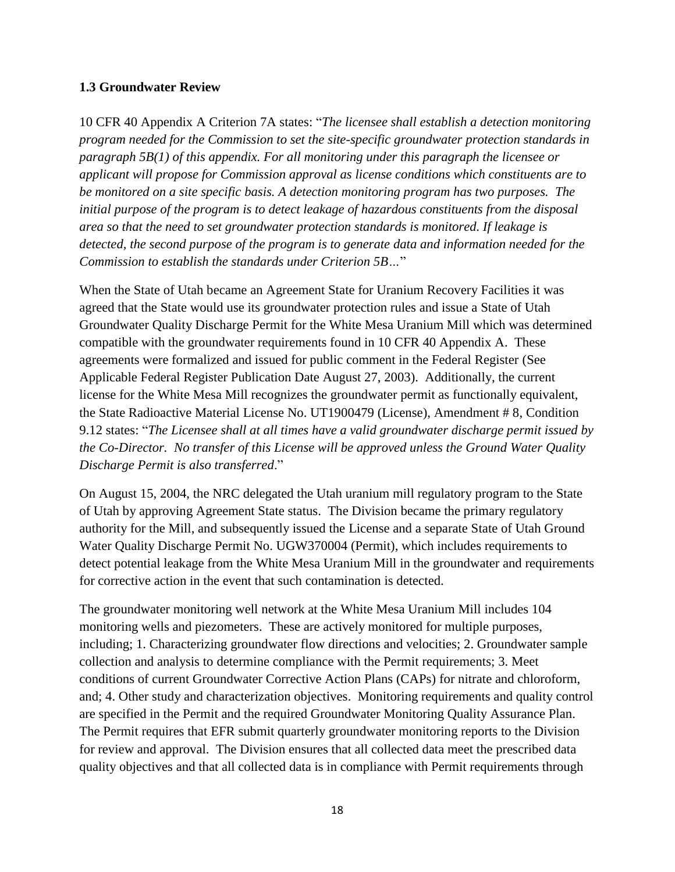#### <span id="page-18-0"></span>**1.3 Groundwater Review**

10 CFR 40 Appendix A Criterion 7A states: "*The licensee shall establish a detection monitoring program needed for the Commission to set the site-specific groundwater protection standards in paragraph 5B(1) of this appendix. For all monitoring under this paragraph the licensee or applicant will propose for Commission approval as license conditions which constituents are to be monitored on a site specific basis. A detection monitoring program has two purposes. The initial purpose of the program is to detect leakage of hazardous constituents from the disposal area so that the need to set groundwater protection standards is monitored. If leakage is detected, the second purpose of the program is to generate data and information needed for the Commission to establish the standards under Criterion 5B…*"

When the State of Utah became an Agreement State for Uranium Recovery Facilities it was agreed that the State would use its groundwater protection rules and issue a State of Utah Groundwater Quality Discharge Permit for the White Mesa Uranium Mill which was determined compatible with the groundwater requirements found in 10 CFR 40 Appendix A. These agreements were formalized and issued for public comment in the Federal Register (See Applicable Federal Register Publication Date August 27, 2003). Additionally, the current license for the White Mesa Mill recognizes the groundwater permit as functionally equivalent, the State Radioactive Material License No. UT1900479 (License), Amendment # 8, Condition 9.12 states: "*The Licensee shall at all times have a valid groundwater discharge permit issued by the Co-Director. No transfer of this License will be approved unless the Ground Water Quality Discharge Permit is also transferred*."

On August 15, 2004, the NRC delegated the Utah uranium mill regulatory program to the State of Utah by approving Agreement State status. The Division became the primary regulatory authority for the Mill, and subsequently issued the License and a separate State of Utah Ground Water Quality Discharge Permit No. UGW370004 (Permit), which includes requirements to detect potential leakage from the White Mesa Uranium Mill in the groundwater and requirements for corrective action in the event that such contamination is detected.

The groundwater monitoring well network at the White Mesa Uranium Mill includes 104 monitoring wells and piezometers. These are actively monitored for multiple purposes, including; 1. Characterizing groundwater flow directions and velocities; 2. Groundwater sample collection and analysis to determine compliance with the Permit requirements; 3. Meet conditions of current Groundwater Corrective Action Plans (CAPs) for nitrate and chloroform, and; 4. Other study and characterization objectives. Monitoring requirements and quality control are specified in the Permit and the required Groundwater Monitoring Quality Assurance Plan. The Permit requires that EFR submit quarterly groundwater monitoring reports to the Division for review and approval. The Division ensures that all collected data meet the prescribed data quality objectives and that all collected data is in compliance with Permit requirements through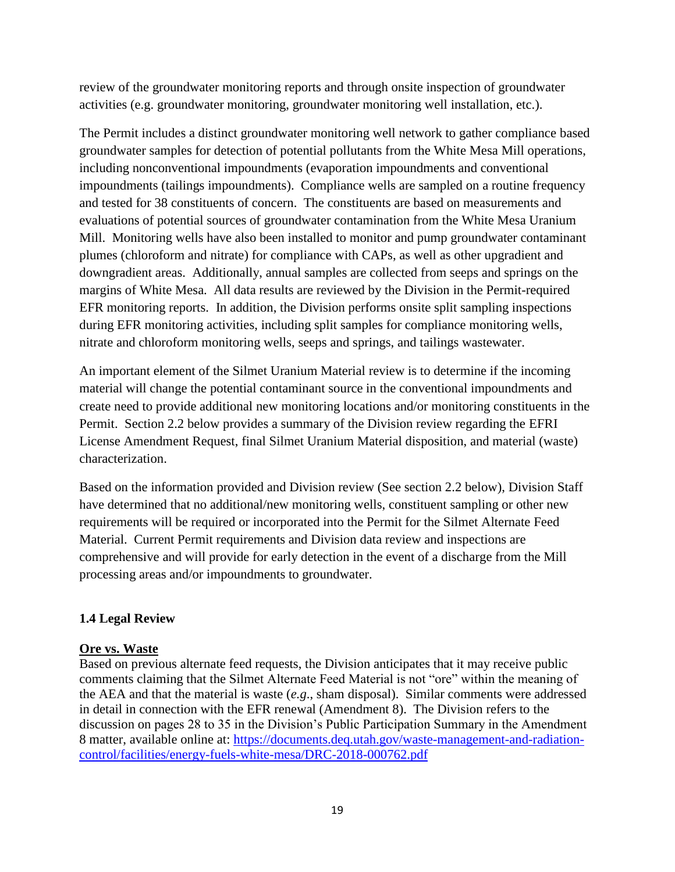review of the groundwater monitoring reports and through onsite inspection of groundwater activities (e.g. groundwater monitoring, groundwater monitoring well installation, etc.).

The Permit includes a distinct groundwater monitoring well network to gather compliance based groundwater samples for detection of potential pollutants from the White Mesa Mill operations, including nonconventional impoundments (evaporation impoundments and conventional impoundments (tailings impoundments). Compliance wells are sampled on a routine frequency and tested for 38 constituents of concern. The constituents are based on measurements and evaluations of potential sources of groundwater contamination from the White Mesa Uranium Mill. Monitoring wells have also been installed to monitor and pump groundwater contaminant plumes (chloroform and nitrate) for compliance with CAPs, as well as other upgradient and downgradient areas. Additionally, annual samples are collected from seeps and springs on the margins of White Mesa. All data results are reviewed by the Division in the Permit-required EFR monitoring reports. In addition, the Division performs onsite split sampling inspections during EFR monitoring activities, including split samples for compliance monitoring wells, nitrate and chloroform monitoring wells, seeps and springs, and tailings wastewater.

An important element of the Silmet Uranium Material review is to determine if the incoming material will change the potential contaminant source in the conventional impoundments and create need to provide additional new monitoring locations and/or monitoring constituents in the Permit. Section 2.2 below provides a summary of the Division review regarding the EFRI License Amendment Request, final Silmet Uranium Material disposition, and material (waste) characterization.

Based on the information provided and Division review (See section 2.2 below), Division Staff have determined that no additional/new monitoring wells, constituent sampling or other new requirements will be required or incorporated into the Permit for the Silmet Alternate Feed Material. Current Permit requirements and Division data review and inspections are comprehensive and will provide for early detection in the event of a discharge from the Mill processing areas and/or impoundments to groundwater.

#### <span id="page-19-0"></span>**1.4 Legal Review**

#### **Ore vs. Waste**

Based on previous alternate feed requests, the Division anticipates that it may receive public comments claiming that the Silmet Alternate Feed Material is not "ore" within the meaning of the AEA and that the material is waste (*e.g*., sham disposal). Similar comments were addressed in detail in connection with the EFR renewal (Amendment 8). The Division refers to the discussion on pages 28 to 35 in the Division's Public Participation Summary in the Amendment 8 matter, available online at: [https://documents.deq.utah.gov/waste-management-and-radiation](https://documents.deq.utah.gov/waste-management-and-radiation-control/facilities/energy-fuels-white-mesa/DRC-2018-000762.pdf)[control/facilities/energy-fuels-white-mesa/DRC-2018-000762.pdf](https://documents.deq.utah.gov/waste-management-and-radiation-control/facilities/energy-fuels-white-mesa/DRC-2018-000762.pdf)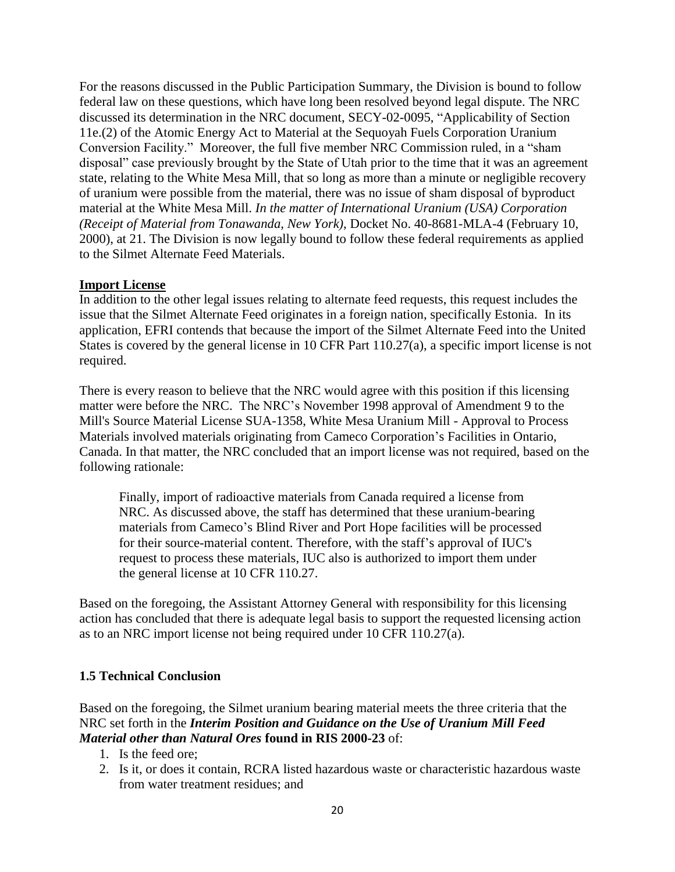For the reasons discussed in the Public Participation Summary, the Division is bound to follow federal law on these questions, which have long been resolved beyond legal dispute. The NRC discussed its determination in the NRC document, SECY-02-0095, "Applicability of Section 11e.(2) of the Atomic Energy Act to Material at the Sequoyah Fuels Corporation Uranium Conversion Facility." Moreover, the full five member NRC Commission ruled, in a "sham disposal" case previously brought by the State of Utah prior to the time that it was an agreement state, relating to the White Mesa Mill, that so long as more than a minute or negligible recovery of uranium were possible from the material, there was no issue of sham disposal of byproduct material at the White Mesa Mill. *In the matter of International Uranium (USA) Corporation (Receipt of Material from Tonawanda, New York)*, Docket No. 40-8681-MLA-4 (February 10, 2000), at 21. The Division is now legally bound to follow these federal requirements as applied to the Silmet Alternate Feed Materials.

#### **Import License**

In addition to the other legal issues relating to alternate feed requests, this request includes the issue that the Silmet Alternate Feed originates in a foreign nation, specifically Estonia. In its application, EFRI contends that because the import of the Silmet Alternate Feed into the United States is covered by the general license in 10 CFR Part 110.27(a), a specific import license is not required.

There is every reason to believe that the NRC would agree with this position if this licensing matter were before the NRC. The NRC's November 1998 approval of Amendment 9 to the Mill's Source Material License SUA-1358, White Mesa Uranium Mill - Approval to Process Materials involved materials originating from Cameco Corporation's Facilities in Ontario, Canada. In that matter, the NRC concluded that an import license was not required, based on the following rationale:

Finally, import of radioactive materials from Canada required a license from NRC. As discussed above, the staff has determined that these uranium-bearing materials from Cameco's Blind River and Port Hope facilities will be processed for their source-material content. Therefore, with the staff's approval of IUC's request to process these materials, IUC also is authorized to import them under the general license at 10 CFR 110.27.

Based on the foregoing, the Assistant Attorney General with responsibility for this licensing action has concluded that there is adequate legal basis to support the requested licensing action as to an NRC import license not being required under 10 CFR 110.27(a).

#### <span id="page-20-0"></span>**1.5 Technical Conclusion**

Based on the foregoing, the Silmet uranium bearing material meets the three criteria that the NRC set forth in the *Interim Position and Guidance on the Use of Uranium Mill Feed Material other than Natural Ores* **found in RIS 2000-23** of:

- 1. Is the feed ore;
- 2. Is it, or does it contain, RCRA listed hazardous waste or characteristic hazardous waste from water treatment residues; and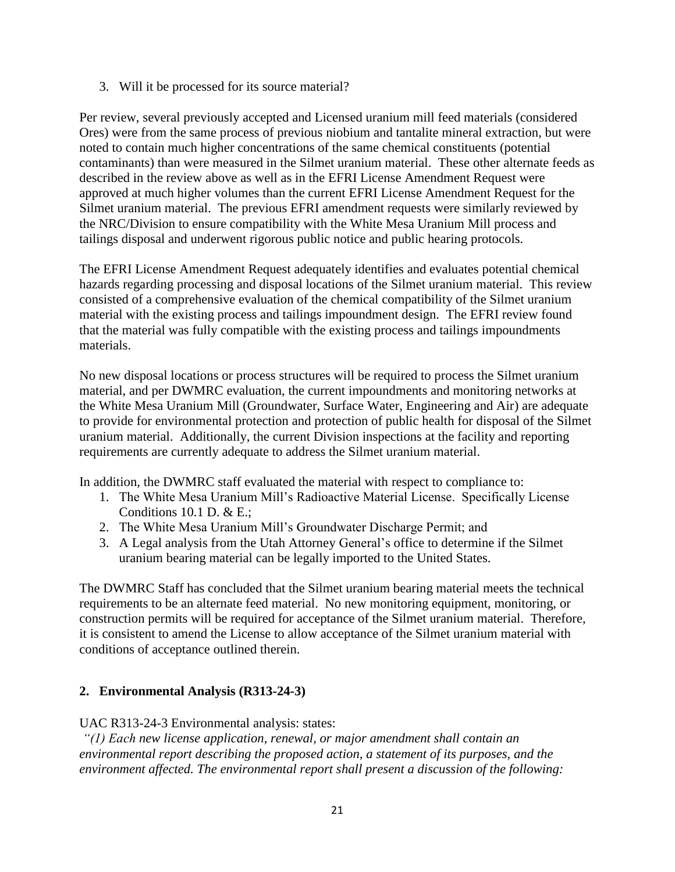3. Will it be processed for its source material?

Per review, several previously accepted and Licensed uranium mill feed materials (considered Ores) were from the same process of previous niobium and tantalite mineral extraction, but were noted to contain much higher concentrations of the same chemical constituents (potential contaminants) than were measured in the Silmet uranium material. These other alternate feeds as described in the review above as well as in the EFRI License Amendment Request were approved at much higher volumes than the current EFRI License Amendment Request for the Silmet uranium material. The previous EFRI amendment requests were similarly reviewed by the NRC/Division to ensure compatibility with the White Mesa Uranium Mill process and tailings disposal and underwent rigorous public notice and public hearing protocols.

The EFRI License Amendment Request adequately identifies and evaluates potential chemical hazards regarding processing and disposal locations of the Silmet uranium material. This review consisted of a comprehensive evaluation of the chemical compatibility of the Silmet uranium material with the existing process and tailings impoundment design. The EFRI review found that the material was fully compatible with the existing process and tailings impoundments materials.

No new disposal locations or process structures will be required to process the Silmet uranium material, and per DWMRC evaluation, the current impoundments and monitoring networks at the White Mesa Uranium Mill (Groundwater, Surface Water, Engineering and Air) are adequate to provide for environmental protection and protection of public health for disposal of the Silmet uranium material. Additionally, the current Division inspections at the facility and reporting requirements are currently adequate to address the Silmet uranium material.

In addition, the DWMRC staff evaluated the material with respect to compliance to:

- 1. The White Mesa Uranium Mill's Radioactive Material License. Specifically License Conditions 10.1 D.  $&E$ .;
- 2. The White Mesa Uranium Mill's Groundwater Discharge Permit; and
- 3. A Legal analysis from the Utah Attorney General's office to determine if the Silmet uranium bearing material can be legally imported to the United States.

The DWMRC Staff has concluded that the Silmet uranium bearing material meets the technical requirements to be an alternate feed material. No new monitoring equipment, monitoring, or construction permits will be required for acceptance of the Silmet uranium material. Therefore, it is consistent to amend the License to allow acceptance of the Silmet uranium material with conditions of acceptance outlined therein.

#### <span id="page-21-0"></span>**2. Environmental Analysis (R313-24-3)**

UAC R313-24-3 Environmental analysis: states:

*"(1) Each new license application, renewal, or major amendment shall contain an environmental report describing the proposed action, a statement of its purposes, and the environment affected. The environmental report shall present a discussion of the following:*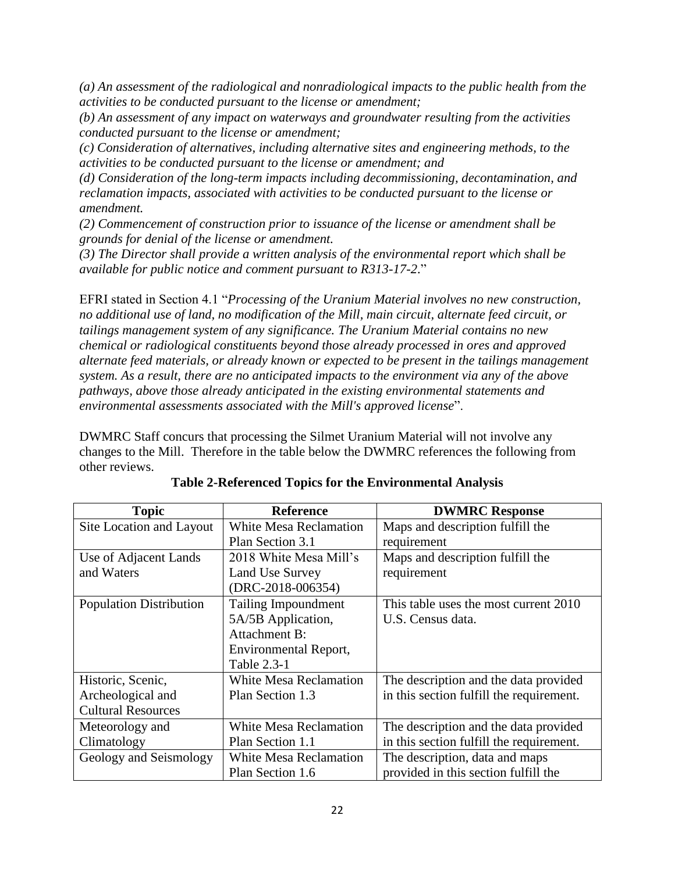*(a) An assessment of the radiological and nonradiological impacts to the public health from the activities to be conducted pursuant to the license or amendment;*

*(b) An assessment of any impact on waterways and groundwater resulting from the activities conducted pursuant to the license or amendment;*

*(c) Consideration of alternatives, including alternative sites and engineering methods, to the activities to be conducted pursuant to the license or amendment; and*

*(d) Consideration of the long-term impacts including decommissioning, decontamination, and reclamation impacts, associated with activities to be conducted pursuant to the license or amendment.*

*(2) Commencement of construction prior to issuance of the license or amendment shall be grounds for denial of the license or amendment.*

*(3) The Director shall provide a written analysis of the environmental report which shall be available for public notice and comment pursuant to R313-17-2*."

EFRI stated in Section 4.1 "*Processing of the Uranium Material involves no new construction, no additional use of land, no modification of the Mill, main circuit, alternate feed circuit, or tailings management system of any significance. The Uranium Material contains no new chemical or radiological constituents beyond those already processed in ores and approved alternate feed materials, or already known or expected to be present in the tailings management system. As a result, there are no anticipated impacts to the environment via any of the above pathways, above those already anticipated in the existing environmental statements and environmental assessments associated with the Mill's approved license*".

DWMRC Staff concurs that processing the Silmet Uranium Material will not involve any changes to the Mill. Therefore in the table below the DWMRC references the following from other reviews.

| <b>Topic</b>                                     | <b>Reference</b>              | <b>DWMRC Response</b>                    |  |
|--------------------------------------------------|-------------------------------|------------------------------------------|--|
| Site Location and Layout                         | White Mesa Reclamation        | Maps and description fulfill the         |  |
| Plan Section 3.1                                 |                               | requirement                              |  |
| Use of Adjacent Lands                            | 2018 White Mesa Mill's        | Maps and description fulfill the         |  |
| and Waters                                       | Land Use Survey               | requirement                              |  |
|                                                  | $(DRC-2018-006354)$           |                                          |  |
| <b>Population Distribution</b>                   | Tailing Impoundment           | This table uses the most current 2010    |  |
|                                                  | 5A/5B Application,            | U.S. Census data.                        |  |
|                                                  | <b>Attachment B:</b>          |                                          |  |
|                                                  | Environmental Report,         |                                          |  |
| Table 2.3-1                                      |                               |                                          |  |
| Historic, Scenic,                                | <b>White Mesa Reclamation</b> | The description and the data provided    |  |
| Archeological and                                | Plan Section 1.3              | in this section fulfill the requirement. |  |
| <b>Cultural Resources</b>                        |                               |                                          |  |
| <b>White Mesa Reclamation</b><br>Meteorology and |                               | The description and the data provided    |  |
| Climatology<br>Plan Section 1.1                  |                               | in this section fulfill the requirement. |  |
| Geology and Seismology<br>White Mesa Reclamation |                               | The description, data and maps           |  |
| Plan Section 1.6                                 |                               | provided in this section fulfill the     |  |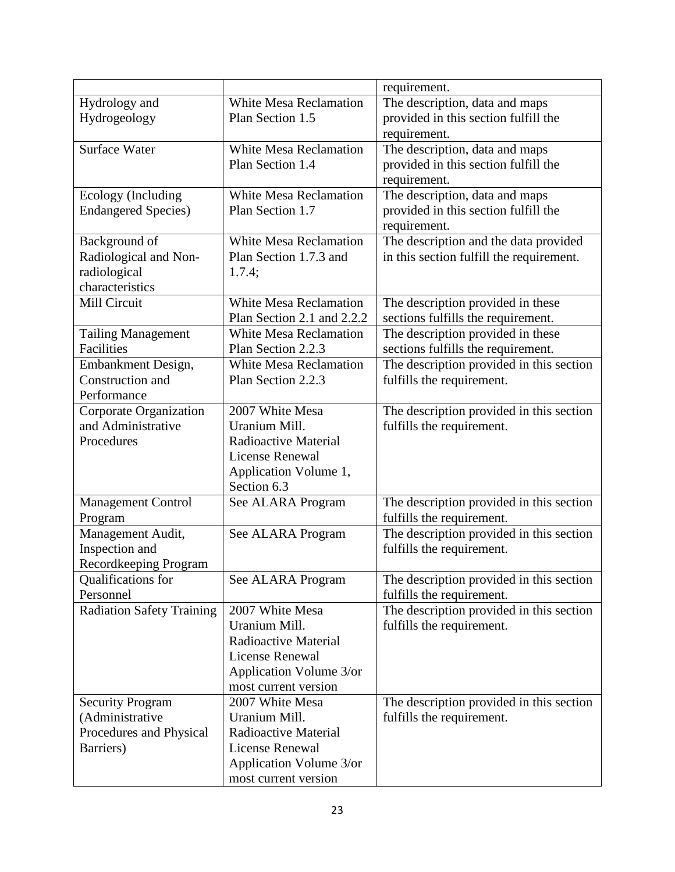|                                            |                                       | requirement.                             |  |
|--------------------------------------------|---------------------------------------|------------------------------------------|--|
| Hydrology and                              | <b>White Mesa Reclamation</b>         | The description, data and maps           |  |
| Hydrogeology<br>Plan Section 1.5           |                                       | provided in this section fulfill the     |  |
|                                            |                                       | requirement.                             |  |
| <b>Surface Water</b>                       | <b>White Mesa Reclamation</b>         | The description, data and maps           |  |
| Plan Section 1.4                           |                                       | provided in this section fulfill the     |  |
|                                            |                                       | requirement.                             |  |
| Ecology (Including                         | <b>White Mesa Reclamation</b>         | The description, data and maps           |  |
| <b>Endangered Species</b> )                | Plan Section 1.7                      | provided in this section fulfill the     |  |
|                                            |                                       | requirement.                             |  |
| Background of                              | <b>White Mesa Reclamation</b>         | The description and the data provided    |  |
| Radiological and Non-                      | Plan Section 1.7.3 and                | in this section fulfill the requirement. |  |
| radiological                               | 1.7.4;                                |                                          |  |
| characteristics                            |                                       |                                          |  |
| Mill Circuit                               | White Mesa Reclamation                | The description provided in these        |  |
|                                            | Plan Section 2.1 and 2.2.2            | sections fulfills the requirement.       |  |
| <b>Tailing Management</b>                  | <b>White Mesa Reclamation</b>         | The description provided in these        |  |
| Facilities                                 | Plan Section 2.2.3                    | sections fulfills the requirement.       |  |
| Embankment Design,                         | <b>White Mesa Reclamation</b>         | The description provided in this section |  |
| Construction and                           | Plan Section 2.2.3                    | fulfills the requirement.                |  |
| Performance                                |                                       |                                          |  |
| Corporate Organization                     | 2007 White Mesa                       | The description provided in this section |  |
| and Administrative                         | Uranium Mill.                         | fulfills the requirement.                |  |
| Procedures                                 | Radioactive Material                  |                                          |  |
|                                            | <b>License Renewal</b>                |                                          |  |
|                                            | Application Volume 1,                 |                                          |  |
|                                            | Section 6.3                           |                                          |  |
| <b>Management Control</b>                  | See ALARA Program                     | The description provided in this section |  |
| Program                                    |                                       | fulfills the requirement.                |  |
| Management Audit,                          | See ALARA Program                     | The description provided in this section |  |
| Inspection and                             |                                       | fulfills the requirement.                |  |
| Recordkeeping Program                      |                                       |                                          |  |
| Qualifications for                         | See ALARA Program                     | The description provided in this section |  |
| Personnel                                  |                                       | fulfills the requirement.                |  |
| <b>Radiation Safety Training</b>           | 2007 White Mesa                       | The description provided in this section |  |
|                                            | Uranium Mill.                         | fulfills the requirement.                |  |
|                                            | Radioactive Material                  |                                          |  |
|                                            | <b>License Renewal</b>                |                                          |  |
|                                            | Application Volume 3/or               |                                          |  |
|                                            | most current version                  |                                          |  |
| <b>Security Program</b>                    | 2007 White Mesa                       | The description provided in this section |  |
| (Administrative<br>Procedures and Physical | Uranium Mill.<br>Radioactive Material | fulfills the requirement.                |  |
| Barriers)                                  | <b>License Renewal</b>                |                                          |  |
|                                            | Application Volume 3/or               |                                          |  |
|                                            | most current version                  |                                          |  |
|                                            |                                       |                                          |  |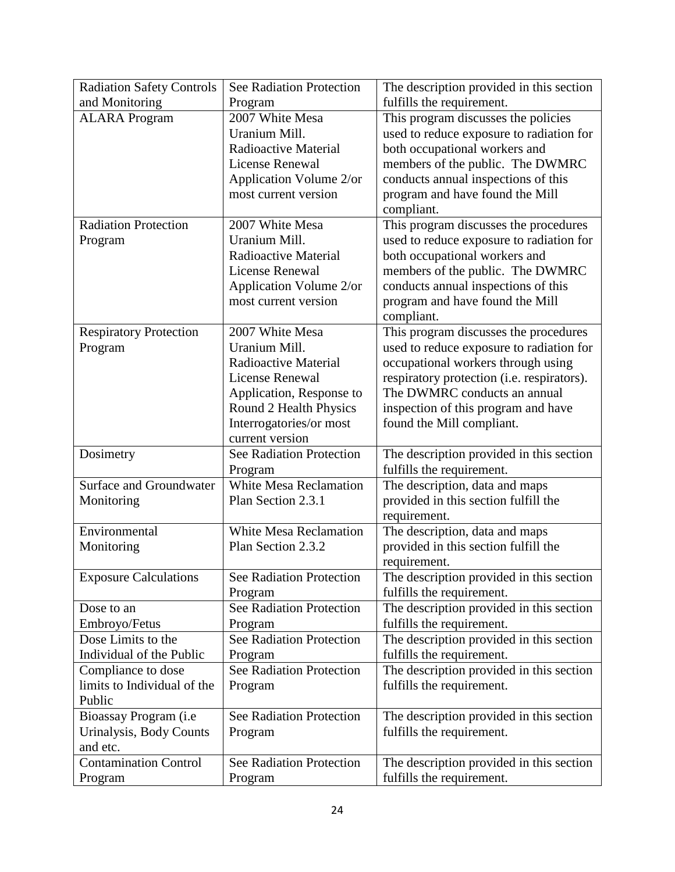| <b>Radiation Safety Controls</b> | See Radiation Protection        | The description provided in this section                               |  |
|----------------------------------|---------------------------------|------------------------------------------------------------------------|--|
| and Monitoring<br>Program        |                                 | fulfills the requirement.                                              |  |
| <b>ALARA Program</b>             | 2007 White Mesa                 | This program discusses the policies                                    |  |
|                                  | Uranium Mill.                   | used to reduce exposure to radiation for                               |  |
|                                  | Radioactive Material            | both occupational workers and                                          |  |
|                                  | <b>License Renewal</b>          | members of the public. The DWMRC                                       |  |
|                                  | Application Volume 2/or         | conducts annual inspections of this                                    |  |
|                                  | most current version            | program and have found the Mill                                        |  |
|                                  |                                 | compliant.                                                             |  |
| <b>Radiation Protection</b>      | 2007 White Mesa                 | This program discusses the procedures                                  |  |
| Program                          | Uranium Mill.                   | used to reduce exposure to radiation for                               |  |
|                                  | Radioactive Material            | both occupational workers and                                          |  |
|                                  | <b>License Renewal</b>          | members of the public. The DWMRC                                       |  |
|                                  | Application Volume 2/or         | conducts annual inspections of this                                    |  |
|                                  | most current version            | program and have found the Mill                                        |  |
|                                  |                                 | compliant.                                                             |  |
| <b>Respiratory Protection</b>    | 2007 White Mesa                 | This program discusses the procedures                                  |  |
| Program                          | Uranium Mill.                   | used to reduce exposure to radiation for                               |  |
|                                  | Radioactive Material            | occupational workers through using                                     |  |
|                                  | <b>License Renewal</b>          | respiratory protection (i.e. respirators).                             |  |
|                                  | Application, Response to        | The DWMRC conducts an annual                                           |  |
|                                  | Round 2 Health Physics          | inspection of this program and have                                    |  |
|                                  | Interrogatories/or most         | found the Mill compliant.                                              |  |
|                                  | current version                 |                                                                        |  |
| Dosimetry                        | <b>See Radiation Protection</b> | The description provided in this section                               |  |
|                                  | Program                         | fulfills the requirement.                                              |  |
| <b>Surface and Groundwater</b>   | <b>White Mesa Reclamation</b>   | The description, data and maps                                         |  |
| Monitoring                       | Plan Section 2.3.1              | provided in this section fulfill the                                   |  |
| Environmental                    | <b>White Mesa Reclamation</b>   | requirement.                                                           |  |
|                                  | Plan Section 2.3.2              | The description, data and maps<br>provided in this section fulfill the |  |
| Monitoring                       |                                 |                                                                        |  |
| <b>Exposure Calculations</b>     | See Radiation Protection        | requirement.<br>The description provided in this section               |  |
|                                  | Program                         | fulfills the requirement.                                              |  |
| Dose to an                       | See Radiation Protection        | The description provided in this section                               |  |
| Embroyo/Fetus                    | Program                         | fulfills the requirement.                                              |  |
| Dose Limits to the               | See Radiation Protection        | The description provided in this section                               |  |
| Individual of the Public         | Program                         | fulfills the requirement.                                              |  |
| Compliance to dose               | See Radiation Protection        | The description provided in this section                               |  |
| limits to Individual of the      |                                 | fulfills the requirement.                                              |  |
| Public                           | Program                         |                                                                        |  |
| Bioassay Program (i.e.           | See Radiation Protection        | The description provided in this section                               |  |
| Urinalysis, Body Counts          | Program                         | fulfills the requirement.                                              |  |
| and etc.                         |                                 |                                                                        |  |
| <b>Contamination Control</b>     | See Radiation Protection        | The description provided in this section                               |  |
| Program                          | Program                         | fulfills the requirement.                                              |  |
|                                  |                                 |                                                                        |  |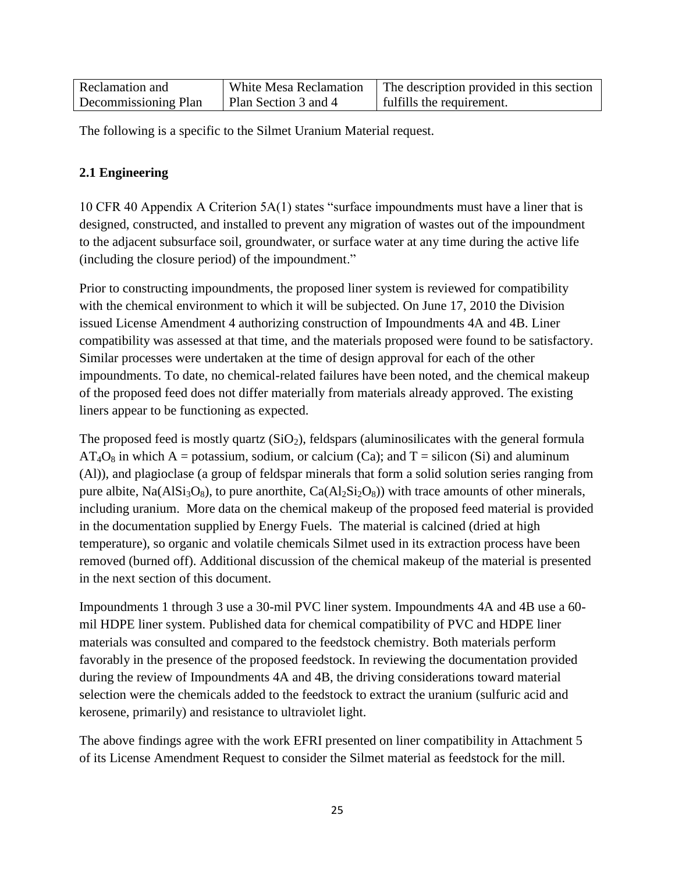| Reclamation and      | White Mesa Reclamation | The description provided in this section |
|----------------------|------------------------|------------------------------------------|
| Decommissioning Plan | Plan Section 3 and 4   | fulfills the requirement.                |

<span id="page-25-0"></span>The following is a specific to the Silmet Uranium Material request.

# **2.1 Engineering**

10 CFR 40 Appendix A Criterion 5A(1) states "surface impoundments must have a liner that is designed, constructed, and installed to prevent any migration of wastes out of the impoundment to the adjacent subsurface soil, groundwater, or surface water at any time during the active life (including the closure period) of the impoundment."

Prior to constructing impoundments, the proposed liner system is reviewed for compatibility with the chemical environment to which it will be subjected. On June 17, 2010 the Division issued License Amendment 4 authorizing construction of Impoundments 4A and 4B. Liner compatibility was assessed at that time, and the materials proposed were found to be satisfactory. Similar processes were undertaken at the time of design approval for each of the other impoundments. To date, no chemical-related failures have been noted, and the chemical makeup of the proposed feed does not differ materially from materials already approved. The existing liners appear to be functioning as expected.

The proposed feed is mostly quartz  $(SiO<sub>2</sub>)$ , feldspars (aluminosilicates with the general formula  $AT_4O_8$  in which A = potassium, sodium, or calcium (Ca); and T = silicon (Si) and aluminum (Al)), and plagioclase (a group of feldspar minerals that form a solid solution series ranging from pure albite,  $Na(AlSi<sub>3</sub>O<sub>8</sub>)$ , to pure anorthite,  $Ca(Al<sub>2</sub>Si<sub>2</sub>O<sub>8</sub>)$ ) with trace amounts of other minerals, including uranium. More data on the chemical makeup of the proposed feed material is provided in the documentation supplied by Energy Fuels. The material is calcined (dried at high temperature), so organic and volatile chemicals Silmet used in its extraction process have been removed (burned off). Additional discussion of the chemical makeup of the material is presented in the next section of this document.

Impoundments 1 through 3 use a 30-mil PVC liner system. Impoundments 4A and 4B use a 60 mil HDPE liner system. Published data for chemical compatibility of PVC and HDPE liner materials was consulted and compared to the feedstock chemistry. Both materials perform favorably in the presence of the proposed feedstock. In reviewing the documentation provided during the review of Impoundments 4A and 4B, the driving considerations toward material selection were the chemicals added to the feedstock to extract the uranium (sulfuric acid and kerosene, primarily) and resistance to ultraviolet light.

The above findings agree with the work EFRI presented on liner compatibility in Attachment 5 of its License Amendment Request to consider the Silmet material as feedstock for the mill.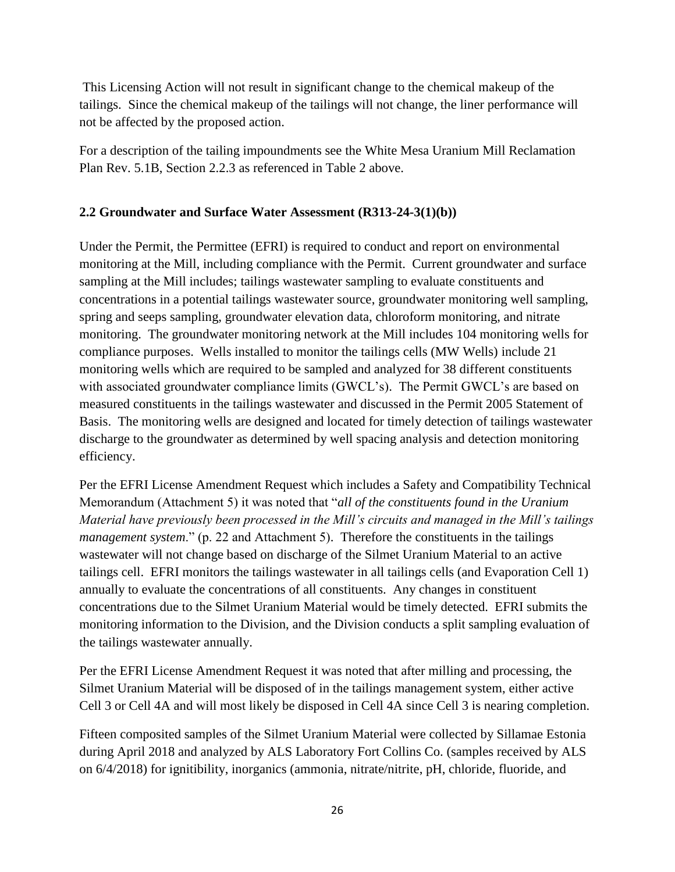This Licensing Action will not result in significant change to the chemical makeup of the tailings. Since the chemical makeup of the tailings will not change, the liner performance will not be affected by the proposed action.

For a description of the tailing impoundments see the White Mesa Uranium Mill Reclamation Plan Rev. 5.1B, Section 2.2.3 as referenced in Table 2 above.

#### <span id="page-26-0"></span>**2.2 Groundwater and Surface Water Assessment (R313-24-3(1)(b))**

Under the Permit, the Permittee (EFRI) is required to conduct and report on environmental monitoring at the Mill, including compliance with the Permit. Current groundwater and surface sampling at the Mill includes; tailings wastewater sampling to evaluate constituents and concentrations in a potential tailings wastewater source, groundwater monitoring well sampling, spring and seeps sampling, groundwater elevation data, chloroform monitoring, and nitrate monitoring. The groundwater monitoring network at the Mill includes 104 monitoring wells for compliance purposes. Wells installed to monitor the tailings cells (MW Wells) include 21 monitoring wells which are required to be sampled and analyzed for 38 different constituents with associated groundwater compliance limits (GWCL's). The Permit GWCL's are based on measured constituents in the tailings wastewater and discussed in the Permit 2005 Statement of Basis. The monitoring wells are designed and located for timely detection of tailings wastewater discharge to the groundwater as determined by well spacing analysis and detection monitoring efficiency.

Per the EFRI License Amendment Request which includes a Safety and Compatibility Technical Memorandum (Attachment 5) it was noted that "*all of the constituents found in the Uranium Material have previously been processed in the Mill's circuits and managed in the Mill's tailings management system.*" (p. 22 and Attachment 5). Therefore the constituents in the tailings wastewater will not change based on discharge of the Silmet Uranium Material to an active tailings cell. EFRI monitors the tailings wastewater in all tailings cells (and Evaporation Cell 1) annually to evaluate the concentrations of all constituents. Any changes in constituent concentrations due to the Silmet Uranium Material would be timely detected. EFRI submits the monitoring information to the Division, and the Division conducts a split sampling evaluation of the tailings wastewater annually.

Per the EFRI License Amendment Request it was noted that after milling and processing, the Silmet Uranium Material will be disposed of in the tailings management system, either active Cell 3 or Cell 4A and will most likely be disposed in Cell 4A since Cell 3 is nearing completion.

Fifteen composited samples of the Silmet Uranium Material were collected by Sillamae Estonia during April 2018 and analyzed by ALS Laboratory Fort Collins Co. (samples received by ALS on 6/4/2018) for ignitibility, inorganics (ammonia, nitrate/nitrite, pH, chloride, fluoride, and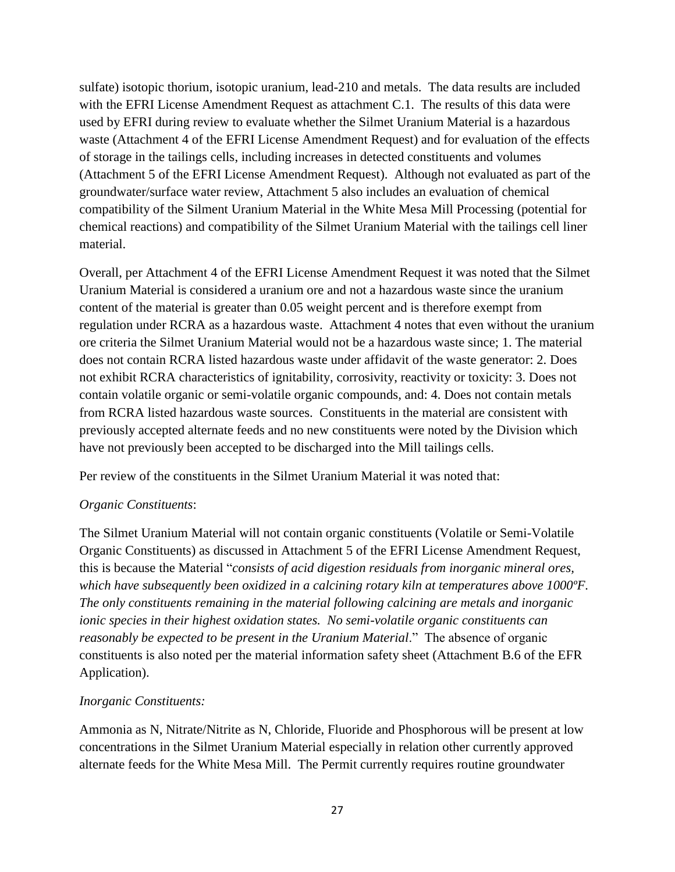sulfate) isotopic thorium, isotopic uranium, lead-210 and metals. The data results are included with the EFRI License Amendment Request as attachment C.1. The results of this data were used by EFRI during review to evaluate whether the Silmet Uranium Material is a hazardous waste (Attachment 4 of the EFRI License Amendment Request) and for evaluation of the effects of storage in the tailings cells, including increases in detected constituents and volumes (Attachment 5 of the EFRI License Amendment Request). Although not evaluated as part of the groundwater/surface water review, Attachment 5 also includes an evaluation of chemical compatibility of the Silment Uranium Material in the White Mesa Mill Processing (potential for chemical reactions) and compatibility of the Silmet Uranium Material with the tailings cell liner material.

Overall, per Attachment 4 of the EFRI License Amendment Request it was noted that the Silmet Uranium Material is considered a uranium ore and not a hazardous waste since the uranium content of the material is greater than 0.05 weight percent and is therefore exempt from regulation under RCRA as a hazardous waste. Attachment 4 notes that even without the uranium ore criteria the Silmet Uranium Material would not be a hazardous waste since; 1. The material does not contain RCRA listed hazardous waste under affidavit of the waste generator: 2. Does not exhibit RCRA characteristics of ignitability, corrosivity, reactivity or toxicity: 3. Does not contain volatile organic or semi-volatile organic compounds, and: 4. Does not contain metals from RCRA listed hazardous waste sources. Constituents in the material are consistent with previously accepted alternate feeds and no new constituents were noted by the Division which have not previously been accepted to be discharged into the Mill tailings cells.

Per review of the constituents in the Silmet Uranium Material it was noted that:

#### *Organic Constituents*:

The Silmet Uranium Material will not contain organic constituents (Volatile or Semi-Volatile Organic Constituents) as discussed in Attachment 5 of the EFRI License Amendment Request, this is because the Material "*consists of acid digestion residuals from inorganic mineral ores, which have subsequently been oxidized in a calcining rotary kiln at temperatures above 1000ºF. The only constituents remaining in the material following calcining are metals and inorganic ionic species in their highest oxidation states. No semi-volatile organic constituents can reasonably be expected to be present in the Uranium Material*." The absence of organic constituents is also noted per the material information safety sheet (Attachment B.6 of the EFR Application).

#### *Inorganic Constituents:*

Ammonia as N, Nitrate/Nitrite as N, Chloride, Fluoride and Phosphorous will be present at low concentrations in the Silmet Uranium Material especially in relation other currently approved alternate feeds for the White Mesa Mill. The Permit currently requires routine groundwater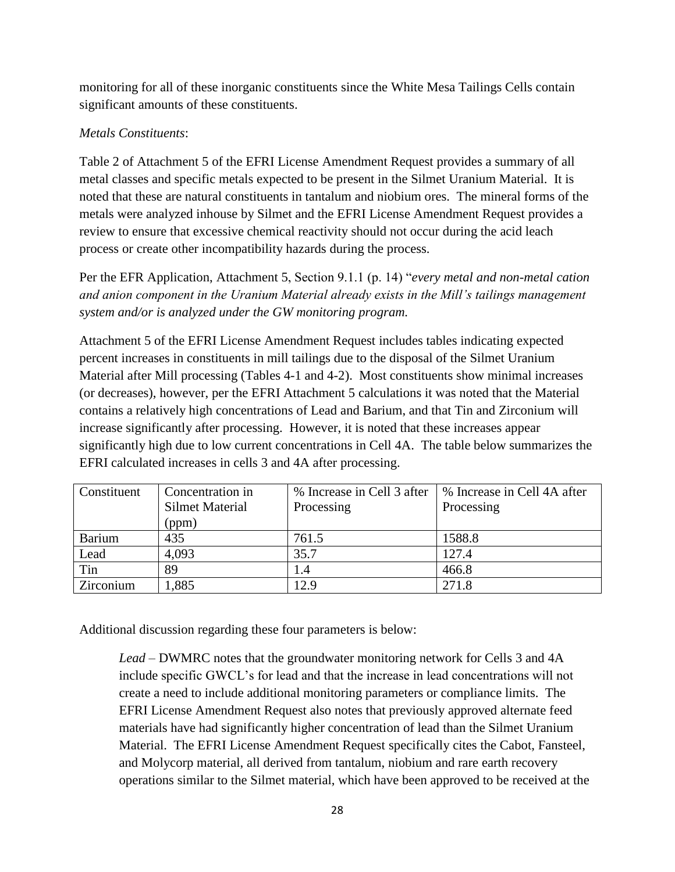monitoring for all of these inorganic constituents since the White Mesa Tailings Cells contain significant amounts of these constituents.

# *Metals Constituents*:

Table 2 of Attachment 5 of the EFRI License Amendment Request provides a summary of all metal classes and specific metals expected to be present in the Silmet Uranium Material. It is noted that these are natural constituents in tantalum and niobium ores. The mineral forms of the metals were analyzed inhouse by Silmet and the EFRI License Amendment Request provides a review to ensure that excessive chemical reactivity should not occur during the acid leach process or create other incompatibility hazards during the process.

Per the EFR Application, Attachment 5, Section 9.1.1 (p. 14) "*every metal and non-metal cation and anion component in the Uranium Material already exists in the Mill's tailings management system and/or is analyzed under the GW monitoring program.*

Attachment 5 of the EFRI License Amendment Request includes tables indicating expected percent increases in constituents in mill tailings due to the disposal of the Silmet Uranium Material after Mill processing (Tables 4-1 and 4-2). Most constituents show minimal increases (or decreases), however, per the EFRI Attachment 5 calculations it was noted that the Material contains a relatively high concentrations of Lead and Barium, and that Tin and Zirconium will increase significantly after processing. However, it is noted that these increases appear significantly high due to low current concentrations in Cell 4A. The table below summarizes the EFRI calculated increases in cells 3 and 4A after processing.

| Constituent | Concentration in<br>Silmet Material | % Increase in Cell 3 after<br>Processing | % Increase in Cell 4A after<br>Processing |
|-------------|-------------------------------------|------------------------------------------|-------------------------------------------|
|             | (ppm)                               |                                          |                                           |
| Barium      | 435                                 | 761.5                                    | 1588.8                                    |
| Lead        | 4,093                               | 35.7                                     | 127.4                                     |
| Tin         | 89                                  | $\cdot$                                  | 466.8                                     |
| Zirconium   | 1,885                               | 12.9                                     | 271.8                                     |

Additional discussion regarding these four parameters is below:

*Lead –* DWMRC notes that the groundwater monitoring network for Cells 3 and 4A include specific GWCL's for lead and that the increase in lead concentrations will not create a need to include additional monitoring parameters or compliance limits. The EFRI License Amendment Request also notes that previously approved alternate feed materials have had significantly higher concentration of lead than the Silmet Uranium Material. The EFRI License Amendment Request specifically cites the Cabot, Fansteel, and Molycorp material, all derived from tantalum, niobium and rare earth recovery operations similar to the Silmet material, which have been approved to be received at the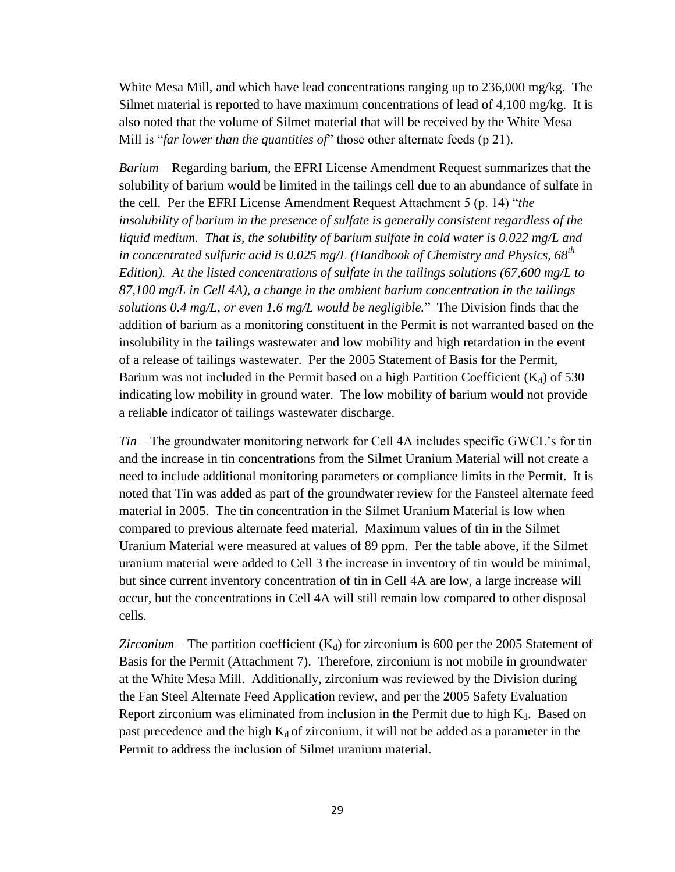White Mesa Mill, and which have lead concentrations ranging up to 236,000 mg/kg. The Silmet material is reported to have maximum concentrations of lead of 4,100 mg/kg. It is also noted that the volume of Silmet material that will be received by the White Mesa Mill is "*far lower than the quantities of*" those other alternate feeds (p 21).

*Barium –* Regarding barium, the EFRI License Amendment Request summarizes that the solubility of barium would be limited in the tailings cell due to an abundance of sulfate in the cell. Per the EFRI License Amendment Request Attachment 5 (p. 14) "*the insolubility of barium in the presence of sulfate is generally consistent regardless of the liquid medium. That is, the solubility of barium sulfate in cold water is 0.022 mg/L and in concentrated sulfuric acid is 0.025 mg/L (Handbook of Chemistry and Physics, 68th Edition). At the listed concentrations of sulfate in the tailings solutions (67,600 mg/L to 87,100 mg/L in Cell 4A), a change in the ambient barium concentration in the tailings solutions 0.4 mg/L, or even 1.6 mg/L would be negligible.*" The Division finds that the addition of barium as a monitoring constituent in the Permit is not warranted based on the insolubility in the tailings wastewater and low mobility and high retardation in the event of a release of tailings wastewater. Per the 2005 Statement of Basis for the Permit, Barium was not included in the Permit based on a high Partition Coefficient  $(K_d)$  of 530 indicating low mobility in ground water. The low mobility of barium would not provide a reliable indicator of tailings wastewater discharge.

*Tin –* The groundwater monitoring network for Cell 4A includes specific GWCL's for tin and the increase in tin concentrations from the Silmet Uranium Material will not create a need to include additional monitoring parameters or compliance limits in the Permit. It is noted that Tin was added as part of the groundwater review for the Fansteel alternate feed material in 2005. The tin concentration in the Silmet Uranium Material is low when compared to previous alternate feed material. Maximum values of tin in the Silmet Uranium Material were measured at values of 89 ppm. Per the table above, if the Silmet uranium material were added to Cell 3 the increase in inventory of tin would be minimal, but since current inventory concentration of tin in Cell 4A are low, a large increase will occur, but the concentrations in Cell 4A will still remain low compared to other disposal cells.

*Zirconium –* The partition coefficient  $(K_d)$  for zirconium is 600 per the 2005 Statement of Basis for the Permit (Attachment 7). Therefore, zirconium is not mobile in groundwater at the White Mesa Mill. Additionally, zirconium was reviewed by the Division during the Fan Steel Alternate Feed Application review, and per the 2005 Safety Evaluation Report zirconium was eliminated from inclusion in the Permit due to high  $K_d$ . Based on past precedence and the high  $K_d$  of zirconium, it will not be added as a parameter in the Permit to address the inclusion of Silmet uranium material.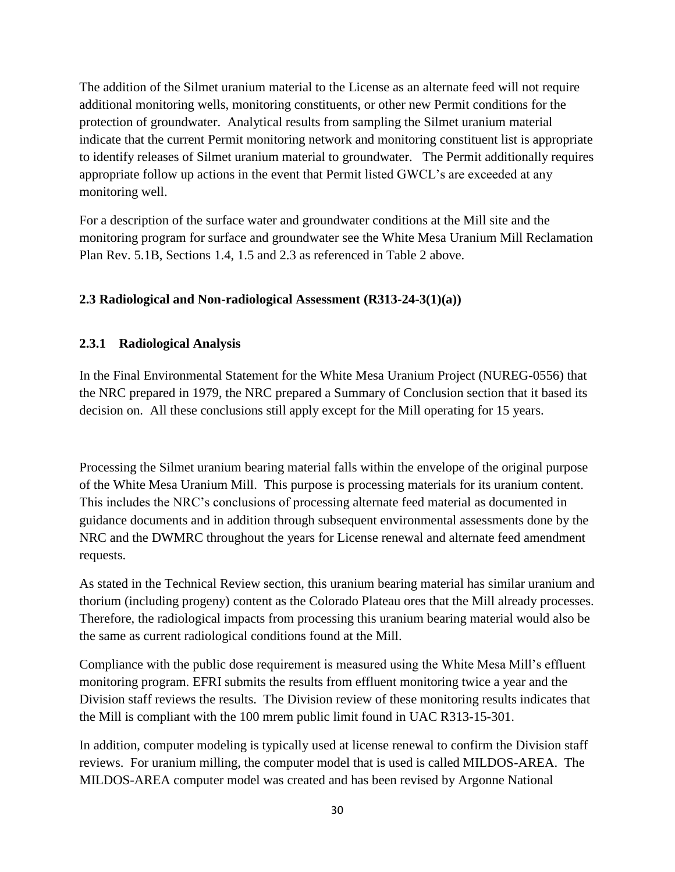The addition of the Silmet uranium material to the License as an alternate feed will not require additional monitoring wells, monitoring constituents, or other new Permit conditions for the protection of groundwater. Analytical results from sampling the Silmet uranium material indicate that the current Permit monitoring network and monitoring constituent list is appropriate to identify releases of Silmet uranium material to groundwater. The Permit additionally requires appropriate follow up actions in the event that Permit listed GWCL's are exceeded at any monitoring well.

For a description of the surface water and groundwater conditions at the Mill site and the monitoring program for surface and groundwater see the White Mesa Uranium Mill Reclamation Plan Rev. 5.1B, Sections 1.4, 1.5 and 2.3 as referenced in Table 2 above.

#### <span id="page-30-1"></span><span id="page-30-0"></span>**2.3 Radiological and Non-radiological Assessment (R313-24-3(1)(a))**

#### **2.3.1 Radiological Analysis**

In the Final Environmental Statement for the White Mesa Uranium Project (NUREG-0556) that the NRC prepared in 1979, the NRC prepared a Summary of Conclusion section that it based its decision on. All these conclusions still apply except for the Mill operating for 15 years.

Processing the Silmet uranium bearing material falls within the envelope of the original purpose of the White Mesa Uranium Mill. This purpose is processing materials for its uranium content. This includes the NRC's conclusions of processing alternate feed material as documented in guidance documents and in addition through subsequent environmental assessments done by the NRC and the DWMRC throughout the years for License renewal and alternate feed amendment requests.

As stated in the Technical Review section, this uranium bearing material has similar uranium and thorium (including progeny) content as the Colorado Plateau ores that the Mill already processes. Therefore, the radiological impacts from processing this uranium bearing material would also be the same as current radiological conditions found at the Mill.

Compliance with the public dose requirement is measured using the White Mesa Mill's effluent monitoring program. EFRI submits the results from effluent monitoring twice a year and the Division staff reviews the results. The Division review of these monitoring results indicates that the Mill is compliant with the 100 mrem public limit found in UAC R313-15-301.

In addition, computer modeling is typically used at license renewal to confirm the Division staff reviews. For uranium milling, the computer model that is used is called MILDOS-AREA. The MILDOS-AREA computer model was created and has been revised by Argonne National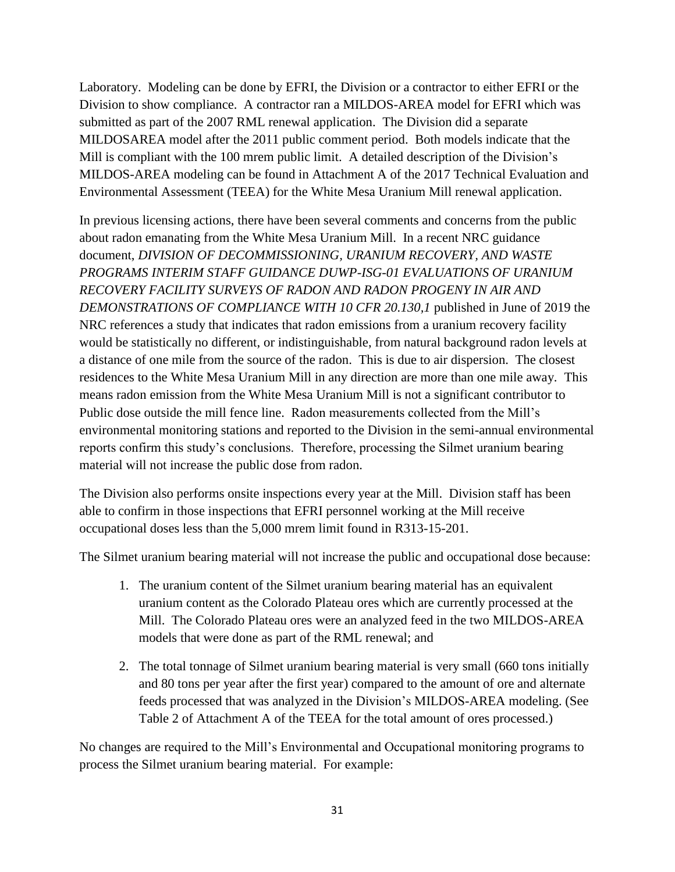Laboratory. Modeling can be done by EFRI, the Division or a contractor to either EFRI or the Division to show compliance. A contractor ran a MILDOS-AREA model for EFRI which was submitted as part of the 2007 RML renewal application. The Division did a separate MILDOSAREA model after the 2011 public comment period. Both models indicate that the Mill is compliant with the 100 mrem public limit. A detailed description of the Division's MILDOS-AREA modeling can be found in Attachment A of the 2017 Technical Evaluation and Environmental Assessment (TEEA) for the White Mesa Uranium Mill renewal application.

In previous licensing actions, there have been several comments and concerns from the public about radon emanating from the White Mesa Uranium Mill. In a recent NRC guidance document, *DIVISION OF DECOMMISSIONING, URANIUM RECOVERY, AND WASTE PROGRAMS INTERIM STAFF GUIDANCE DUWP-ISG-01 EVALUATIONS OF URANIUM RECOVERY FACILITY SURVEYS OF RADON AND RADON PROGENY IN AIR AND DEMONSTRATIONS OF COMPLIANCE WITH 10 CFR 20.130,1* published in June of 2019 the NRC references a study that indicates that radon emissions from a uranium recovery facility would be statistically no different, or indistinguishable, from natural background radon levels at a distance of one mile from the source of the radon. This is due to air dispersion. The closest residences to the White Mesa Uranium Mill in any direction are more than one mile away. This means radon emission from the White Mesa Uranium Mill is not a significant contributor to Public dose outside the mill fence line. Radon measurements collected from the Mill's environmental monitoring stations and reported to the Division in the semi-annual environmental reports confirm this study's conclusions. Therefore, processing the Silmet uranium bearing material will not increase the public dose from radon.

The Division also performs onsite inspections every year at the Mill. Division staff has been able to confirm in those inspections that EFRI personnel working at the Mill receive occupational doses less than the 5,000 mrem limit found in R313-15-201.

The Silmet uranium bearing material will not increase the public and occupational dose because:

- 1. The uranium content of the Silmet uranium bearing material has an equivalent uranium content as the Colorado Plateau ores which are currently processed at the Mill. The Colorado Plateau ores were an analyzed feed in the two MILDOS-AREA models that were done as part of the RML renewal; and
- 2. The total tonnage of Silmet uranium bearing material is very small (660 tons initially and 80 tons per year after the first year) compared to the amount of ore and alternate feeds processed that was analyzed in the Division's MILDOS-AREA modeling. (See Table 2 of Attachment A of the TEEA for the total amount of ores processed.)

No changes are required to the Mill's Environmental and Occupational monitoring programs to process the Silmet uranium bearing material. For example: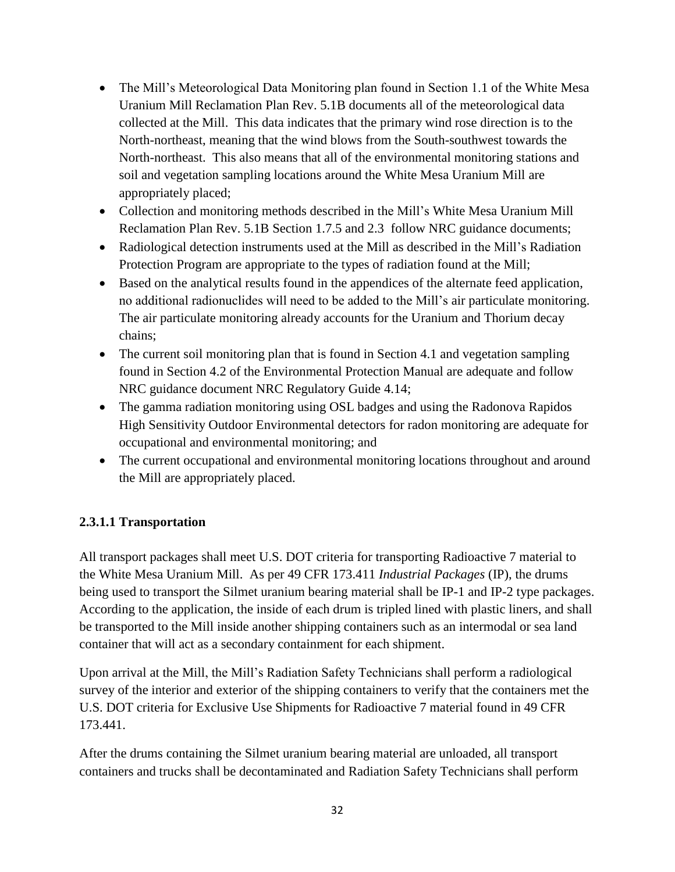- The Mill's Meteorological Data Monitoring plan found in Section 1.1 of the White Mesa Uranium Mill Reclamation Plan Rev. 5.1B documents all of the meteorological data collected at the Mill. This data indicates that the primary wind rose direction is to the North-northeast, meaning that the wind blows from the South-southwest towards the North-northeast. This also means that all of the environmental monitoring stations and soil and vegetation sampling locations around the White Mesa Uranium Mill are appropriately placed;
- Collection and monitoring methods described in the Mill's White Mesa Uranium Mill Reclamation Plan Rev. 5.1B Section 1.7.5 and 2.3 follow NRC guidance documents;
- Radiological detection instruments used at the Mill as described in the Mill's Radiation Protection Program are appropriate to the types of radiation found at the Mill;
- Based on the analytical results found in the appendices of the alternate feed application, no additional radionuclides will need to be added to the Mill's air particulate monitoring. The air particulate monitoring already accounts for the Uranium and Thorium decay chains;
- The current soil monitoring plan that is found in Section 4.1 and vegetation sampling found in Section 4.2 of the Environmental Protection Manual are adequate and follow NRC guidance document NRC Regulatory Guide 4.14;
- The gamma radiation monitoring using OSL badges and using the Radonova Rapidos High Sensitivity Outdoor Environmental detectors for radon monitoring are adequate for occupational and environmental monitoring; and
- The current occupational and environmental monitoring locations throughout and around the Mill are appropriately placed.

# <span id="page-32-0"></span>**2.3.1.1 Transportation**

All transport packages shall meet U.S. DOT criteria for transporting Radioactive 7 material to the White Mesa Uranium Mill. As per 49 CFR 173.411 *Industrial Packages* (IP), the drums being used to transport the Silmet uranium bearing material shall be IP-1 and IP-2 type packages. According to the application, the inside of each drum is tripled lined with plastic liners, and shall be transported to the Mill inside another shipping containers such as an intermodal or sea land container that will act as a secondary containment for each shipment.

Upon arrival at the Mill, the Mill's Radiation Safety Technicians shall perform a radiological survey of the interior and exterior of the shipping containers to verify that the containers met the U.S. DOT criteria for Exclusive Use Shipments for Radioactive 7 material found in 49 CFR 173.441.

After the drums containing the Silmet uranium bearing material are unloaded, all transport containers and trucks shall be decontaminated and Radiation Safety Technicians shall perform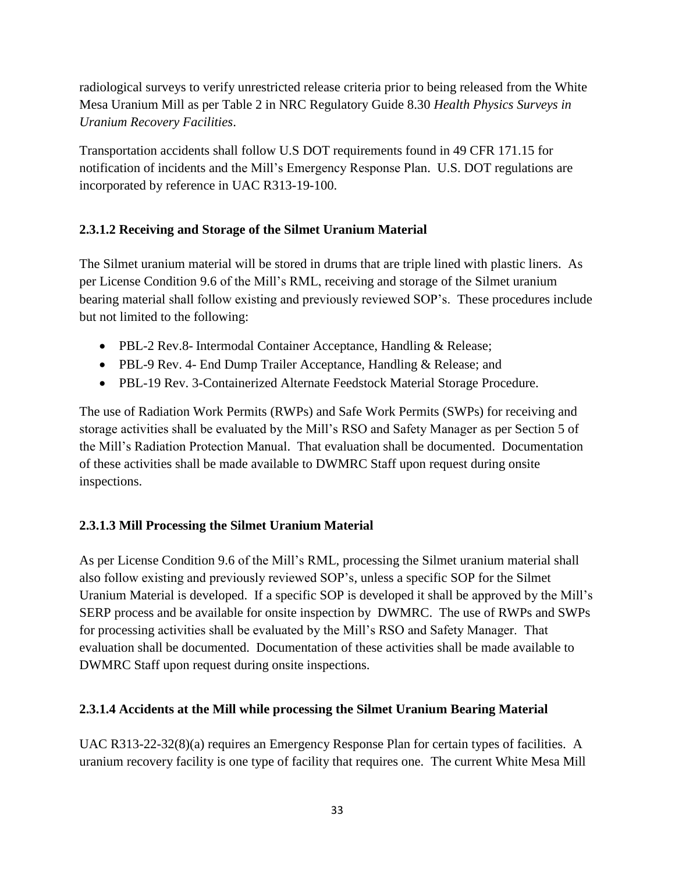radiological surveys to verify unrestricted release criteria prior to being released from the White Mesa Uranium Mill as per Table 2 in NRC Regulatory Guide 8.30 *Health Physics Surveys in Uranium Recovery Facilities*.

Transportation accidents shall follow U.S DOT requirements found in 49 CFR 171.15 for notification of incidents and the Mill's Emergency Response Plan. U.S. DOT regulations are incorporated by reference in UAC R313-19-100.

# <span id="page-33-0"></span>**2.3.1.2 Receiving and Storage of the Silmet Uranium Material**

The Silmet uranium material will be stored in drums that are triple lined with plastic liners. As per License Condition 9.6 of the Mill's RML, receiving and storage of the Silmet uranium bearing material shall follow existing and previously reviewed SOP's. These procedures include but not limited to the following:

- PBL-2 Rev.8- Intermodal Container Acceptance, Handling & Release;
- PBL-9 Rev. 4- End Dump Trailer Acceptance, Handling & Release; and
- PBL-19 Rev. 3-Containerized Alternate Feedstock Material Storage Procedure.

The use of Radiation Work Permits (RWPs) and Safe Work Permits (SWPs) for receiving and storage activities shall be evaluated by the Mill's RSO and Safety Manager as per Section 5 of the Mill's Radiation Protection Manual. That evaluation shall be documented. Documentation of these activities shall be made available to DWMRC Staff upon request during onsite inspections.

# <span id="page-33-1"></span>**2.3.1.3 Mill Processing the Silmet Uranium Material**

As per License Condition 9.6 of the Mill's RML, processing the Silmet uranium material shall also follow existing and previously reviewed SOP's, unless a specific SOP for the Silmet Uranium Material is developed. If a specific SOP is developed it shall be approved by the Mill's SERP process and be available for onsite inspection by DWMRC. The use of RWPs and SWPs for processing activities shall be evaluated by the Mill's RSO and Safety Manager. That evaluation shall be documented. Documentation of these activities shall be made available to DWMRC Staff upon request during onsite inspections.

# <span id="page-33-2"></span>**2.3.1.4 Accidents at the Mill while processing the Silmet Uranium Bearing Material**

UAC R313-22-32(8)(a) requires an Emergency Response Plan for certain types of facilities. A uranium recovery facility is one type of facility that requires one. The current White Mesa Mill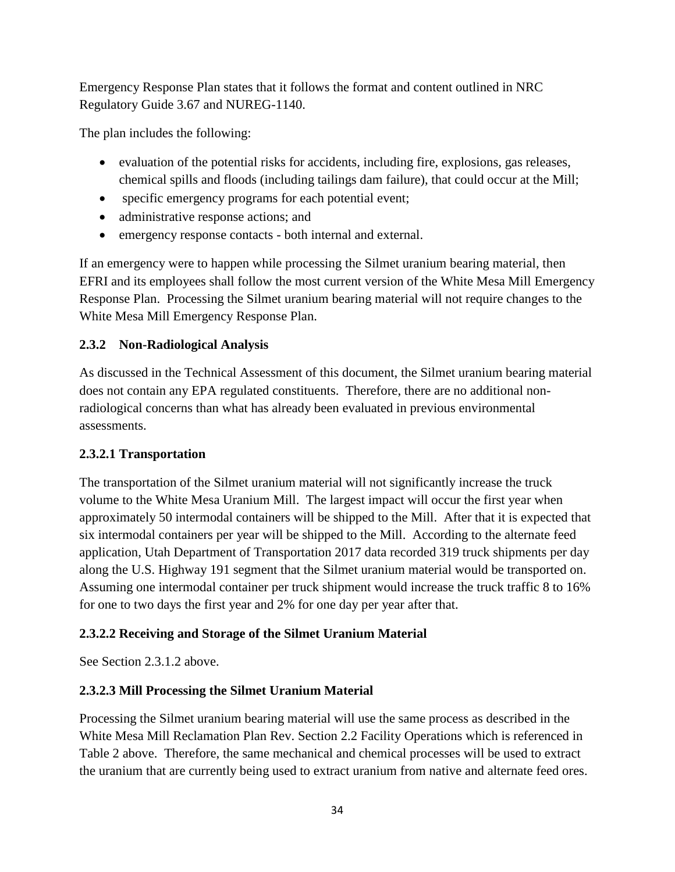Emergency Response Plan states that it follows the format and content outlined in NRC Regulatory Guide 3.67 and NUREG-1140.

The plan includes the following:

- evaluation of the potential risks for accidents, including fire, explosions, gas releases, chemical spills and floods (including tailings dam failure), that could occur at the Mill;
- specific emergency programs for each potential event;
- administrative response actions; and
- emergency response contacts both internal and external.

If an emergency were to happen while processing the Silmet uranium bearing material, then EFRI and its employees shall follow the most current version of the White Mesa Mill Emergency Response Plan. Processing the Silmet uranium bearing material will not require changes to the White Mesa Mill Emergency Response Plan.

# <span id="page-34-0"></span>**2.3.2 Non-Radiological Analysis**

As discussed in the Technical Assessment of this document, the Silmet uranium bearing material does not contain any EPA regulated constituents. Therefore, there are no additional nonradiological concerns than what has already been evaluated in previous environmental assessments.

# <span id="page-34-1"></span>**2.3.2.1 Transportation**

The transportation of the Silmet uranium material will not significantly increase the truck volume to the White Mesa Uranium Mill. The largest impact will occur the first year when approximately 50 intermodal containers will be shipped to the Mill. After that it is expected that six intermodal containers per year will be shipped to the Mill. According to the alternate feed application, Utah Department of Transportation 2017 data recorded 319 truck shipments per day along the U.S. Highway 191 segment that the Silmet uranium material would be transported on. Assuming one intermodal container per truck shipment would increase the truck traffic 8 to 16% for one to two days the first year and 2% for one day per year after that.

# **2.3.2.2 Receiving and Storage of the Silmet Uranium Material**

See Section 2.3.1.2 above.

# **2.3.2.3 Mill Processing the Silmet Uranium Material**

Processing the Silmet uranium bearing material will use the same process as described in the White Mesa Mill Reclamation Plan Rev. Section 2.2 Facility Operations which is referenced in Table 2 above. Therefore, the same mechanical and chemical processes will be used to extract the uranium that are currently being used to extract uranium from native and alternate feed ores.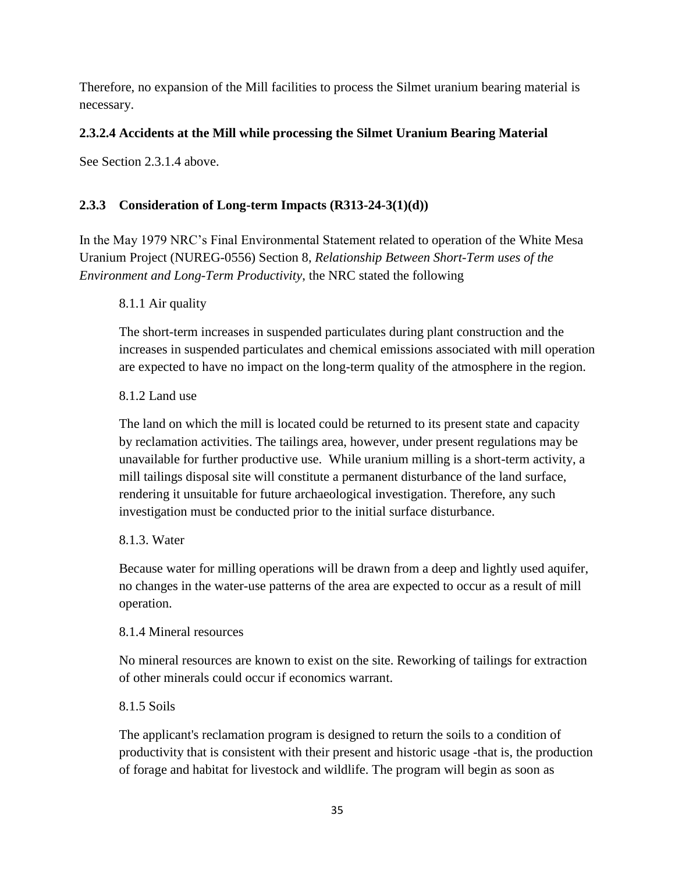Therefore, no expansion of the Mill facilities to process the Silmet uranium bearing material is necessary.

# **2.3.2.4 Accidents at the Mill while processing the Silmet Uranium Bearing Material**

See Section 2.3.1.4 above.

# <span id="page-35-0"></span>**2.3.3 Consideration of Long-term Impacts (R313-24-3(1)(d))**

In the May 1979 NRC's Final Environmental Statement related to operation of the White Mesa Uranium Project (NUREG-0556) Section 8, *Relationship Between Short-Term uses of the Environment and Long-Term Productivity*, the NRC stated the following

#### 8.1.1 Air quality

The short-term increases in suspended particulates during plant construction and the increases in suspended particulates and chemical emissions associated with mill operation are expected to have no impact on the long-term quality of the atmosphere in the region.

#### 8.1.2 Land use

The land on which the mill is located could be returned to its present state and capacity by reclamation activities. The tailings area, however, under present regulations may be unavailable for further productive use. While uranium milling is a short-term activity, a mill tailings disposal site will constitute a permanent disturbance of the land surface, rendering it unsuitable for future archaeological investigation. Therefore, any such investigation must be conducted prior to the initial surface disturbance.

#### 8.1.3. Water

Because water for milling operations will be drawn from a deep and lightly used aquifer, no changes in the water-use patterns of the area are expected to occur as a result of mill operation.

#### 8.1.4 Mineral resources

No mineral resources are known to exist on the site. Reworking of tailings for extraction of other minerals could occur if economics warrant.

#### 8.1.5 Soils

The applicant's reclamation program is designed to return the soils to a condition of productivity that is consistent with their present and historic usage -that is, the production of forage and habitat for livestock and wildlife. The program will begin as soon as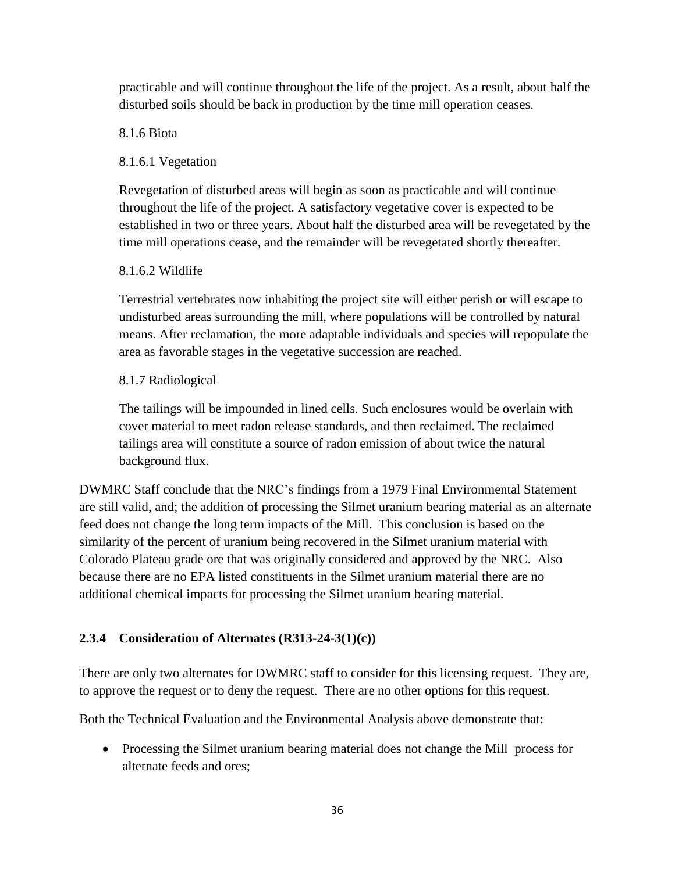practicable and will continue throughout the life of the project. As a result, about half the disturbed soils should be back in production by the time mill operation ceases.

#### 8.1.6 Biota

# 8.1.6.1 Vegetation

Revegetation of disturbed areas will begin as soon as practicable and will continue throughout the life of the project. A satisfactory vegetative cover is expected to be established in two or three years. About half the disturbed area will be revegetated by the time mill operations cease, and the remainder will be revegetated shortly thereafter.

#### 8.1.6.2 Wildlife

Terrestrial vertebrates now inhabiting the project site will either perish or will escape to undisturbed areas surrounding the mill, where populations will be controlled by natural means. After reclamation, the more adaptable individuals and species will repopulate the area as favorable stages in the vegetative succession are reached.

# 8.1.7 Radiological

The tailings will be impounded in lined cells. Such enclosures would be overlain with cover material to meet radon release standards, and then reclaimed. The reclaimed tailings area will constitute a source of radon emission of about twice the natural background flux.

DWMRC Staff conclude that the NRC's findings from a 1979 Final Environmental Statement are still valid, and; the addition of processing the Silmet uranium bearing material as an alternate feed does not change the long term impacts of the Mill. This conclusion is based on the similarity of the percent of uranium being recovered in the Silmet uranium material with Colorado Plateau grade ore that was originally considered and approved by the NRC. Also because there are no EPA listed constituents in the Silmet uranium material there are no additional chemical impacts for processing the Silmet uranium bearing material.

# <span id="page-36-0"></span>**2.3.4 Consideration of Alternates (R313-24-3(1)(c))**

There are only two alternates for DWMRC staff to consider for this licensing request. They are, to approve the request or to deny the request. There are no other options for this request.

Both the Technical Evaluation and the Environmental Analysis above demonstrate that:

 Processing the Silmet uranium bearing material does not change the Mill process for alternate feeds and ores;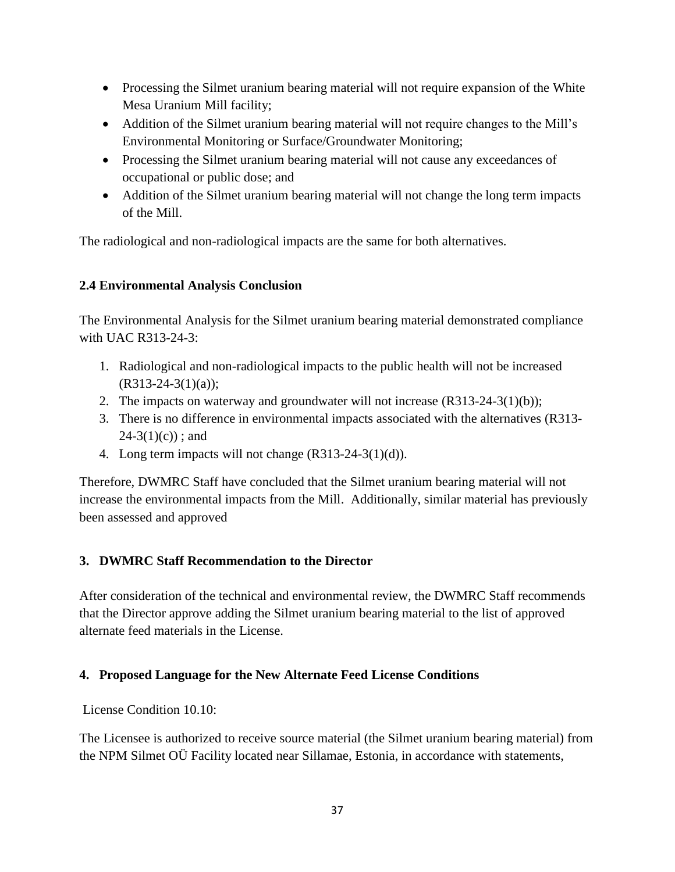- Processing the Silmet uranium bearing material will not require expansion of the White Mesa Uranium Mill facility;
- Addition of the Silmet uranium bearing material will not require changes to the Mill's Environmental Monitoring or Surface/Groundwater Monitoring;
- Processing the Silmet uranium bearing material will not cause any exceedances of occupational or public dose; and
- Addition of the Silmet uranium bearing material will not change the long term impacts of the Mill.

The radiological and non-radiological impacts are the same for both alternatives.

# <span id="page-37-0"></span>**2.4 Environmental Analysis Conclusion**

The Environmental Analysis for the Silmet uranium bearing material demonstrated compliance with UAC R313-24-3:

- 1. Radiological and non-radiological impacts to the public health will not be increased  $(R313-24-3(1)(a))$ ;
- 2. The impacts on waterway and groundwater will not increase (R313-24-3(1)(b));
- 3. There is no difference in environmental impacts associated with the alternatives (R313-  $24-3(1)(c)$ ; and
- 4. Long term impacts will not change (R313-24-3(1)(d)).

Therefore, DWMRC Staff have concluded that the Silmet uranium bearing material will not increase the environmental impacts from the Mill. Additionally, similar material has previously been assessed and approved

# <span id="page-37-1"></span>**3. DWMRC Staff Recommendation to the Director**

After consideration of the technical and environmental review, the DWMRC Staff recommends that the Director approve adding the Silmet uranium bearing material to the list of approved alternate feed materials in the License.

# <span id="page-37-2"></span>**4. Proposed Language for the New Alternate Feed License Conditions**

License Condition 10.10:

The Licensee is authorized to receive source material (the Silmet uranium bearing material) from the NPM Silmet OÜ Facility located near Sillamae, Estonia, in accordance with statements,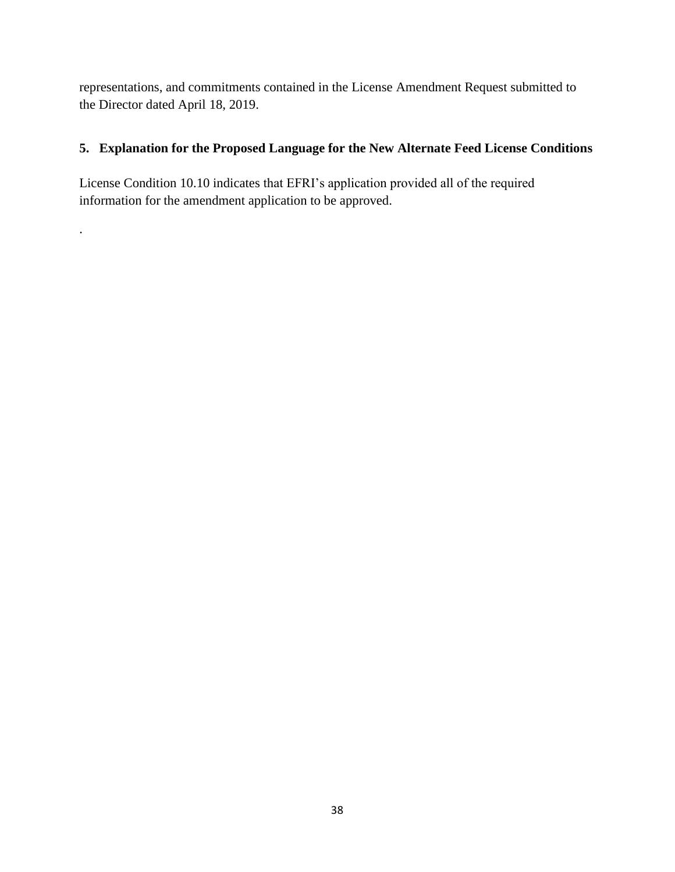representations, and commitments contained in the License Amendment Request submitted to the Director dated April 18, 2019.

# <span id="page-38-0"></span>**5. Explanation for the Proposed Language for the New Alternate Feed License Conditions**

License Condition 10.10 indicates that EFRI's application provided all of the required information for the amendment application to be approved.

.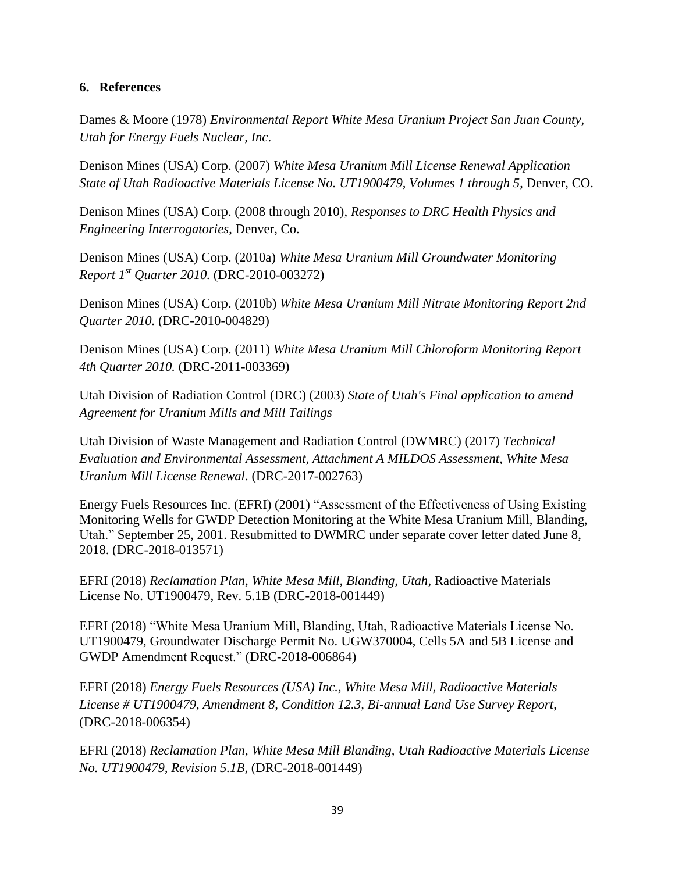#### <span id="page-39-0"></span>**6. References**

Dames & Moore (1978) *Environmental Report White Mesa Uranium Project San Juan County, Utah for Energy Fuels Nuclear, Inc*.

Denison Mines (USA) Corp. (2007) *White Mesa Uranium Mill License Renewal Application State of Utah Radioactive Materials License No. UT1900479, Volumes 1 through 5*, Denver, CO.

Denison Mines (USA) Corp. (2008 through 2010), *Responses to DRC Health Physics and Engineering Interrogatories*, Denver, Co.

Denison Mines (USA) Corp. (2010a) *White Mesa Uranium Mill Groundwater Monitoring Report 1 st Quarter 2010.* (DRC-2010-003272)

Denison Mines (USA) Corp. (2010b) *White Mesa Uranium Mill Nitrate Monitoring Report 2nd Quarter 2010.* (DRC-2010-004829)

Denison Mines (USA) Corp. (2011) *White Mesa Uranium Mill Chloroform Monitoring Report 4th Quarter 2010.* (DRC-2011-003369)

Utah Division of Radiation Control (DRC) (2003) *State of Utah's Final application to amend Agreement for Uranium Mills and Mill Tailings*

Utah Division of Waste Management and Radiation Control (DWMRC) (2017) *Technical Evaluation and Environmental Assessment, Attachment A MILDOS Assessment, White Mesa Uranium Mill License Renewal*. (DRC-2017-002763)

Energy Fuels Resources Inc. (EFRI) (2001) "Assessment of the Effectiveness of Using Existing Monitoring Wells for GWDP Detection Monitoring at the White Mesa Uranium Mill, Blanding, Utah." September 25, 2001. Resubmitted to DWMRC under separate cover letter dated June 8, 2018. (DRC-2018-013571)

EFRI (2018) *Reclamation Plan, White Mesa Mill, Blanding, Utah,* Radioactive Materials License No. UT1900479, Rev. 5.1B (DRC-2018-001449)

EFRI (2018) "White Mesa Uranium Mill, Blanding, Utah, Radioactive Materials License No. UT1900479, Groundwater Discharge Permit No. UGW370004, Cells 5A and 5B License and GWDP Amendment Request." (DRC-2018-006864)

EFRI (2018) *Energy Fuels Resources (USA) Inc., White Mesa Mill, Radioactive Materials License # UT1900479, Amendment 8, Condition 12.3, Bi-annual Land Use Survey Report*, (DRC-2018-006354)

EFRI (2018) *Reclamation Plan, White Mesa Mill Blanding, Utah Radioactive Materials License No. UT1900479, Revision 5.1B*, (DRC-2018-001449)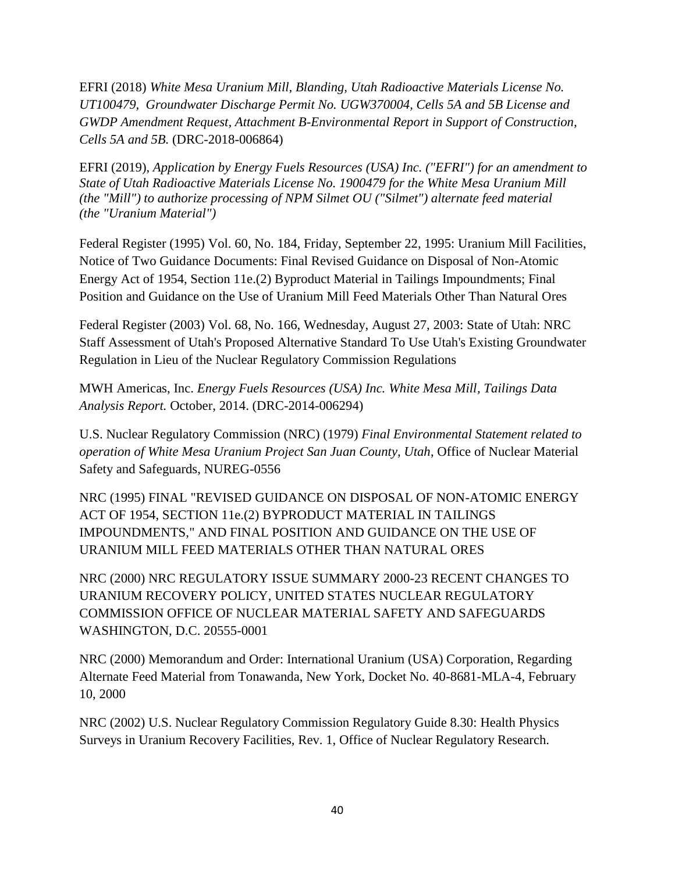EFRI (2018) *White Mesa Uranium Mill, Blanding, Utah Radioactive Materials License No. UT100479, Groundwater Discharge Permit No. UGW370004, Cells 5A and 5B License and GWDP Amendment Request, Attachment B-Environmental Report in Support of Construction, Cells 5A and 5B.* (DRC-2018-006864)

EFRI (2019), *Application by Energy Fuels Resources (USA) Inc. ("EFRI") for an amendment to State of Utah Radioactive Materials License No. 1900479 for the White Mesa Uranium Mill (the "Mill") to authorize processing of NPM Silmet OU ("Silmet") alternate feed material (the "Uranium Material")*

Federal Register (1995) Vol. 60, No. 184, Friday, September 22, 1995: Uranium Mill Facilities, Notice of Two Guidance Documents: Final Revised Guidance on Disposal of Non-Atomic Energy Act of 1954, Section 11e.(2) Byproduct Material in Tailings Impoundments; Final Position and Guidance on the Use of Uranium Mill Feed Materials Other Than Natural Ores

Federal Register (2003) Vol. 68, No. 166, Wednesday, August 27, 2003: State of Utah: NRC Staff Assessment of Utah's Proposed Alternative Standard To Use Utah's Existing Groundwater Regulation in Lieu of the Nuclear Regulatory Commission Regulations

MWH Americas, Inc. *Energy Fuels Resources (USA) Inc. White Mesa Mill, Tailings Data Analysis Report.* October, 2014. (DRC-2014-006294)

U.S. Nuclear Regulatory Commission (NRC) (1979) *Final Environmental Statement related to operation of White Mesa Uranium Project San Juan County, Utah*, Office of Nuclear Material Safety and Safeguards, NUREG-0556

NRC (1995) FINAL "REVISED GUIDANCE ON DISPOSAL OF NON-ATOMIC ENERGY ACT OF 1954, SECTION 11e.(2) BYPRODUCT MATERIAL IN TAILINGS IMPOUNDMENTS," AND FINAL POSITION AND GUIDANCE ON THE USE OF URANIUM MILL FEED MATERIALS OTHER THAN NATURAL ORES

NRC (2000) NRC REGULATORY ISSUE SUMMARY 2000-23 RECENT CHANGES TO URANIUM RECOVERY POLICY, UNITED STATES NUCLEAR REGULATORY COMMISSION OFFICE OF NUCLEAR MATERIAL SAFETY AND SAFEGUARDS WASHINGTON, D.C. 20555-0001

NRC (2000) Memorandum and Order: International Uranium (USA) Corporation, Regarding Alternate Feed Material from Tonawanda, New York, Docket No. 40-8681-MLA-4, February 10, 2000

NRC (2002) U.S. Nuclear Regulatory Commission Regulatory Guide 8.30: Health Physics Surveys in Uranium Recovery Facilities, Rev. 1, Office of Nuclear Regulatory Research.